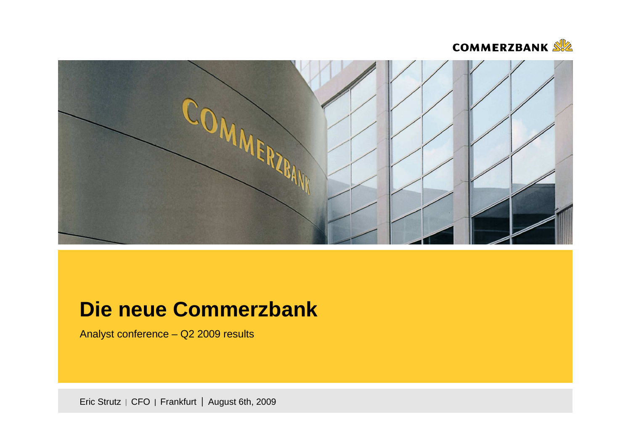



# **Die neue Commerzbank**

Analyst conference – Q2 2009 results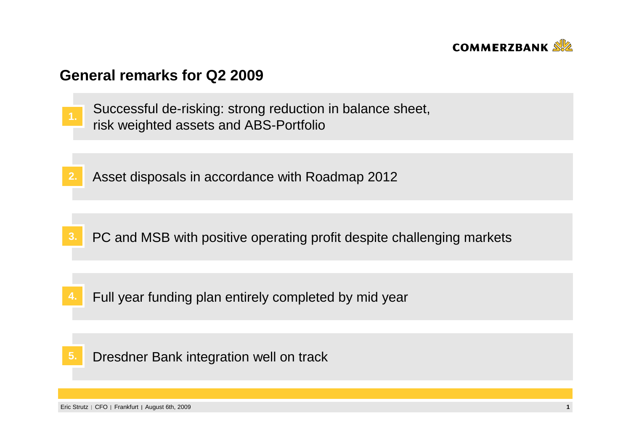

#### **General remarks for Q2 2009**

- Successful de-risking: strong reduction in balance sheet, risk weighted assets and ABS-Portfolio **1.**
- **2.**Asset disposals in accordance with Roadmap 2012

- **3.**PC and MSB with positive operating profit despite challenging markets
- **4.**Full year funding plan entirely completed by mid year

Dresdner Bank integration well on track**5.**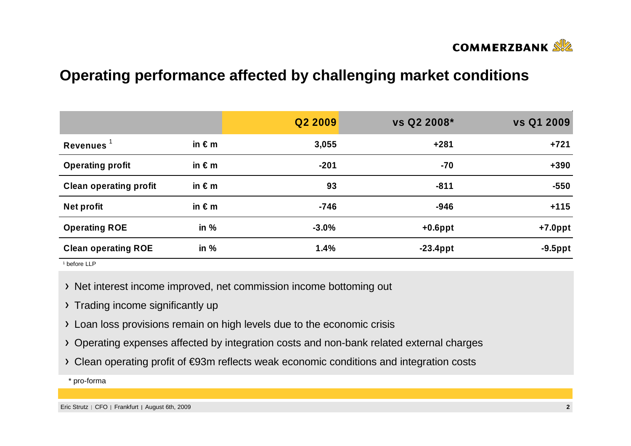

## **Operating performance affected by challenging market conditions**

|                               |                 | Q2 2009 | vs Q2 2008* | vs Q1 2009 |
|-------------------------------|-----------------|---------|-------------|------------|
| Revenues $1$                  | in $\epsilon$ m | 3,055   | $+281$      | $+721$     |
| <b>Operating profit</b>       | in $\epsilon$ m | $-201$  | $-70$       | $+390$     |
| <b>Clean operating profit</b> | in $\epsilon$ m | 93      | $-811$      | $-550$     |
| <b>Net profit</b>             | in $\epsilon$ m | $-746$  | $-946$      | $+115$     |
| <b>Operating ROE</b>          | in $%$          | $-3.0%$ | $+0.6$ ppt  | $+7.0$ ppt |
| <b>Clean operating ROE</b>    | in $%$          | 1.4%    | $-23.4$ ppt | $-9.5$ ppt |

1 before LLP

- > Net interest income improved, net commission income bottoming out
- > Trading income significantly up
- Loan loss provisions remain on high levels due to the economic crisis
- Operating expenses affected by integration costs and non-bank related external charges
- Clean operating profit of €93m reflects weak economic conditions and integration costs

\* pro-forma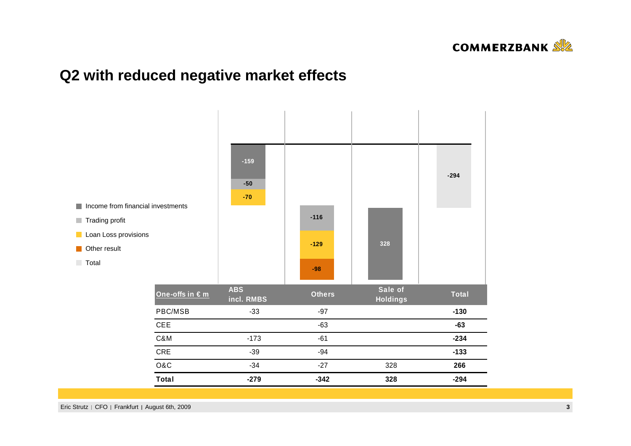

### **Q2 with reduced negative market effects**

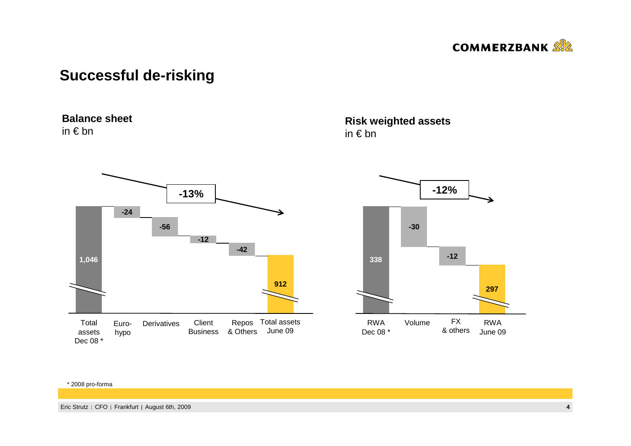

### **Successful de-risking**

#### **Balance sheet**

in € bn



#### **Risk weighted assets**in € bn



#### \* 2008 pro-forma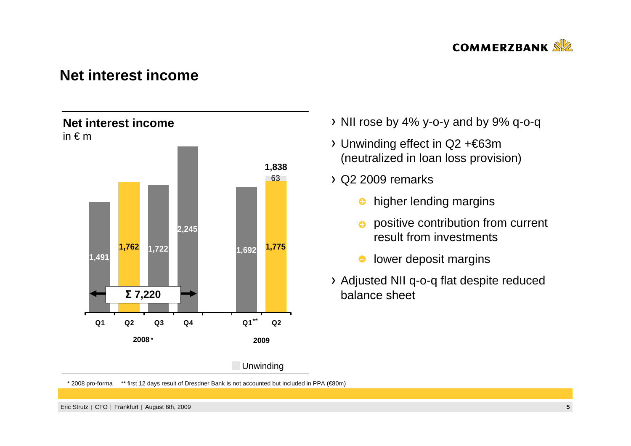

#### **Net interest income**



- $\rightarrow$  NII rose by 4% y-o-y and by 9% q-o-q
- Unwinding effect in Q2 +€63m (neutralized in loan loss provision)
- $\rightarrow$  Q2 2009 remarks
	- $\bullet$ higher lending margins
	- $\bullet$  positive contribution from current result from investments
	- $\bullet$ lower deposit margins
- Adjusted NII q-o-q flat despite reduced balance sheet

\* 2008 pro-forma \*\* first 12 days result of Dresdner Bank is not accounted but included in PPA (€80m)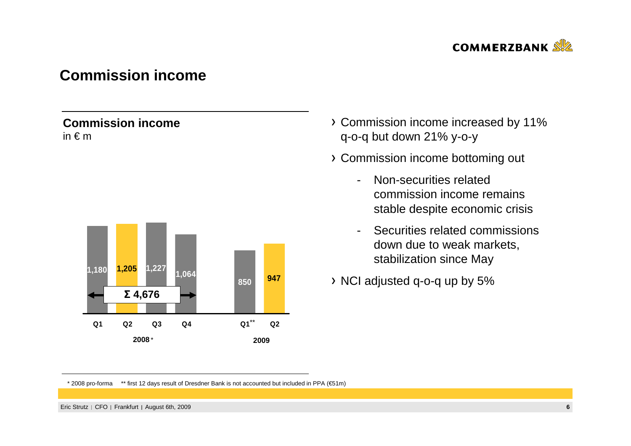

### **Commission income**

#### **Commission income**in € <sup>m</sup>



- Commission income increased by 11% q-o-q but down 21% y-o-y
- Commission income bottoming out
	- - Non-securities related commission income remains stable despite economic crisis
	- - Securities related commissions down due to weak markets, stabilization since May
- NCI adjusted q-o-q up by 5%

\* 2008 pro-forma \*\* first 12 days result of Dresdner Bank is not accounted but included in PPA (€51m)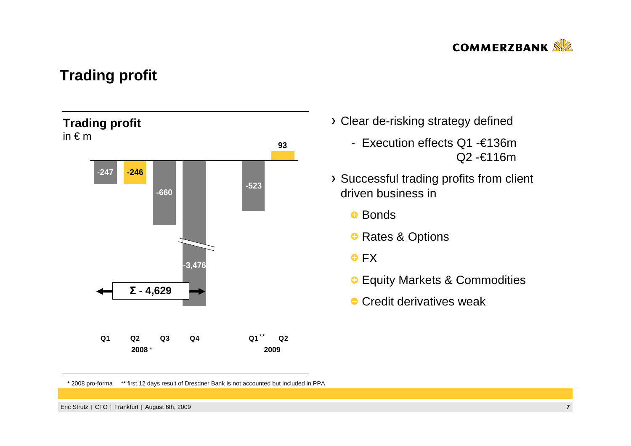

### **Trading profit**



- Clear de-risking strategy defined
	- Execution effects Q1 -€136mQ2 -€116m
- Successful trading profits from client driven business in
	- <del>D</del> Bonds
	- ❶ Rates & Options
	- $\bullet$  FX
	- **•** Equity Markets & Commodities
	- $\bullet$  Credit derivatives weak

<sup>\* 2008</sup> pro-forma \*\* first 12 days result of Dresdner Bank is not accounted but included in PPA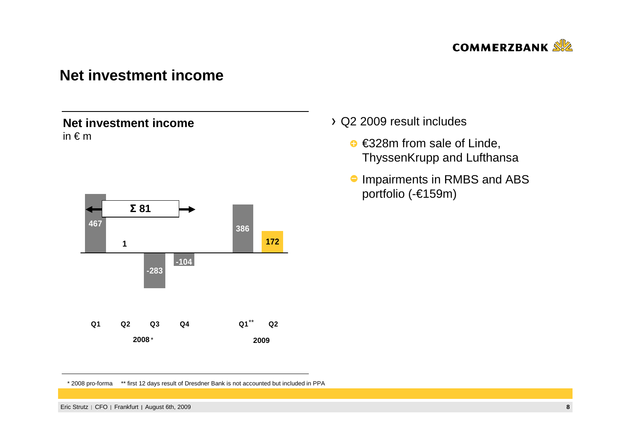

#### **Net investment income**

#### **Net investment income**in € <sup>m</sup>



#### Q2 2009 result includes

- $\bullet$  €328m from sale of Linde, ThyssenKrupp and Lufthansa
- **Impairments in RMBS and ABS** portfolio (-€159m)

\* 2008 pro-forma \*\* first 12 days result of Dresdner Bank is not accounted but included in PPA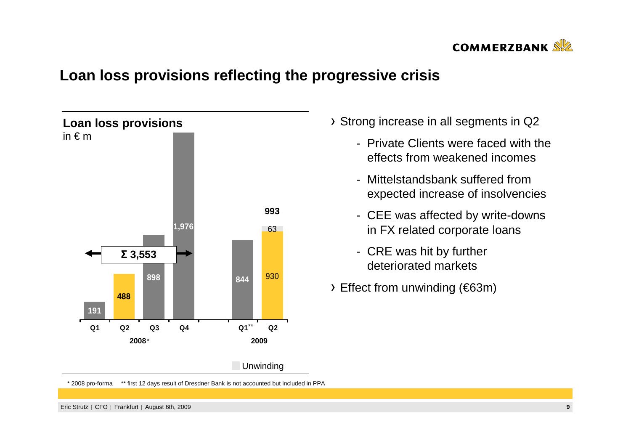

## **Loan loss provisions reflecting the progressive crisis**



Strong increase in all segments in Q2

- Private Clients were faced with the effects from weakened incomes
- Mittelstandsbank suffered from expected increase of insolvencies
- CEE was affected by write-downs in FX related corporate loans
- CRE was hit by further deteriorated markets
- Effect from unwinding (€63m)

Eric Strutz | CFO | Frankfurt | August 6th, 2009 **<sup>9</sup>**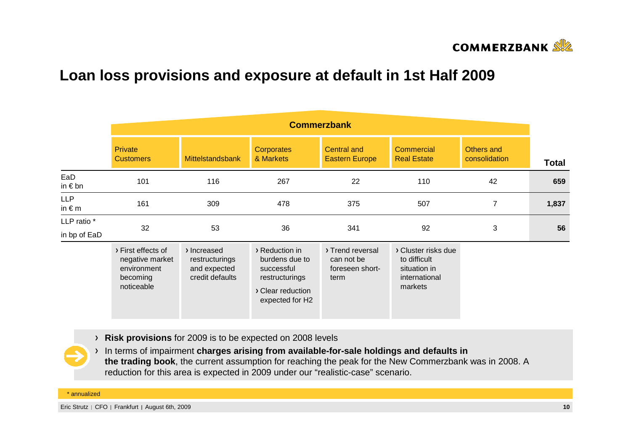

## **Loan loss provisions and exposure at default in 1st Half 2009**

|                               | <b>Commerzbank</b>                                                             |                                                                  |                                                                                                          |                                                           |                                                                                 |                             |              |  |  |  |  |
|-------------------------------|--------------------------------------------------------------------------------|------------------------------------------------------------------|----------------------------------------------------------------------------------------------------------|-----------------------------------------------------------|---------------------------------------------------------------------------------|-----------------------------|--------------|--|--|--|--|
|                               | <b>Private</b><br><b>Customers</b>                                             | <b>Mittelstandsbank</b>                                          | Corporates<br>& Markets                                                                                  | <b>Central and</b><br><b>Eastern Europe</b>               | <b>Commercial</b><br><b>Real Estate</b>                                         | Others and<br>consolidation | <b>Total</b> |  |  |  |  |
| EaD<br>in $\epsilon$ bn       | 101                                                                            | 116                                                              | 267                                                                                                      | 22                                                        | 110                                                                             | 42                          | 659          |  |  |  |  |
| <b>LLP</b><br>in $\epsilon$ m | 161                                                                            | 309                                                              | 478                                                                                                      | 375                                                       | 507                                                                             | $\overline{7}$              | 1,837        |  |  |  |  |
| LLP ratio *<br>in bp of EaD   | 32                                                                             | 53                                                               | 36<br>341                                                                                                |                                                           | 92                                                                              | 3                           | 56           |  |  |  |  |
|                               | > First effects of<br>negative market<br>environment<br>becoming<br>noticeable | > Increased<br>restructurings<br>and expected<br>credit defaults | > Reduction in<br>burdens due to<br>successful<br>restructurings<br>> Clear reduction<br>expected for H2 | > Trend reversal<br>can not be<br>foreseen short-<br>term | > Cluster risks due<br>to difficult<br>situation in<br>international<br>markets |                             |              |  |  |  |  |

**Risk provisions** for 2009 is to be expected on 2008 levels

In terms of impairment **charges arising from available-for-sale holdings and defaults in the trading book**, the current assumption for reaching the peak for the New Commerzbank was in 2008. A reduction for this area is expected in 2009 under our "realistic-case" scenario.

\* annualized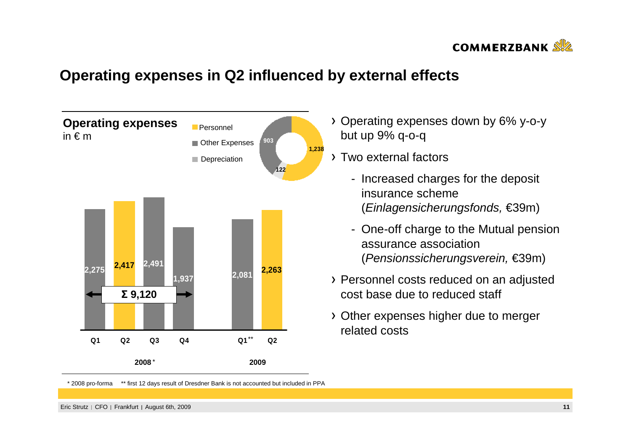

## **Operating expenses in Q2 influenced by external effects**



- Operating expenses down by 6% y-o-ybut up 9% q-o-q
- Two external factors
	- Increased charges for the deposit insurance scheme (Einlagensicherungsfonds, €39m)
	- One-off charge to the Mutual pension assurance association (Pensionssicherungsverein, €39m)
- Personnel costs reduced on an adjusted cost base due to reduced staff
- Other expenses higher due to merger related costs

<sup>\* 2008</sup> pro-forma \*\* first 12 days result of Dresdner Bank is not accounted but included in PPA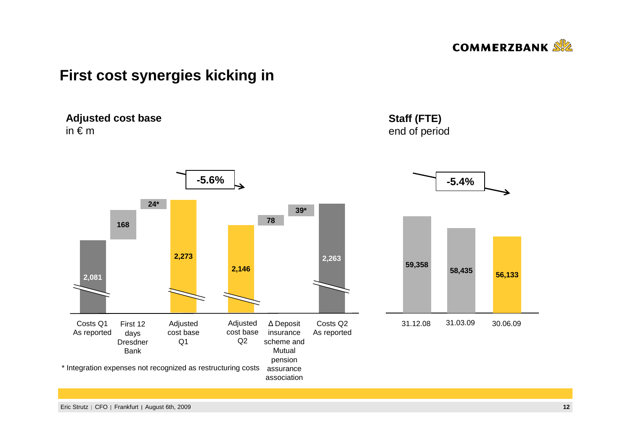

### **First cost synergies kicking in**

**Adjusted cost base**in  $\epsilon$  m \* Integration expenses not recognized as restructuring costsAdjusted cost base Q1**2,0811682,263**First 12 days Dresdner Bank**78**∆ Deposit insurance scheme and Mutual pension assurance association Adjusted cost base Q2**24\*39\*2,2732,146**Costs Q1 As reportedCosts Q2 As reported**Staff (FTE)** end of period**-5.4%59,358 58,435 56,133**31.12.08 31.03.09 30.06.09 **-5.6%**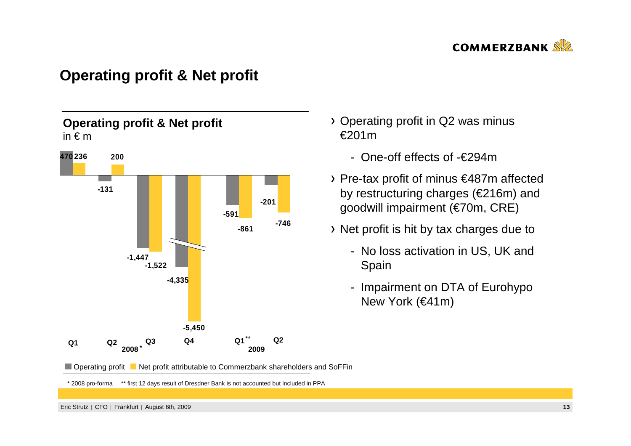

### **Operating profit & Net profit**



- Operating profit in Q2 was minus €201m
	- One-off effects of -€294m
- Pre-tax profit of minus €487m affected by restructuring charges (€216m) and goodwill impairment (€70m, CRE)
- Net profit is hit by tax charges due to
	- No loss activation in US, UK and Spain
	- Impairment on DTA of Eurohypo New York (€41m)

Operating profit Net profit attributable to Commerzbank shareholders and SoFFin

\* 2008 pro-forma \*\* first 12 days result of Dresdner Bank is not accounted but included in PPA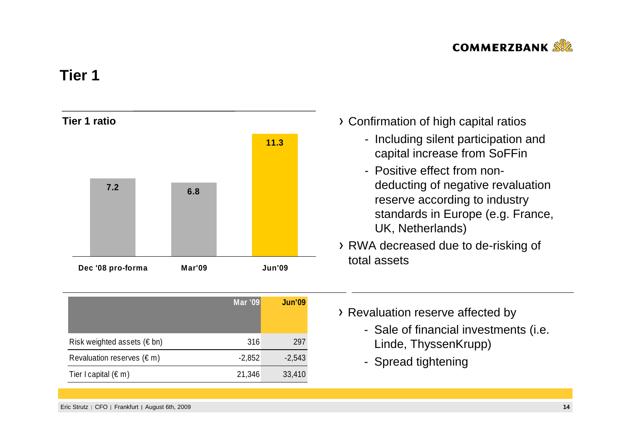

### **Tier 1**



|                                     | <b>Mar '09</b> | <b>Jun'09</b> |
|-------------------------------------|----------------|---------------|
| Risk weighted assets ( $\notin$ bn) | 316            | 297           |
| Revaluation reserves $(\epsilon m)$ | $-2,852$       | $-2,543$      |
| Tier I capital $(\epsilon m)$       | 21,346         | 33,410        |

- Confirmation of high capital ratios
	- Including silent participation and capital increase from SoFFin
	- Positive effect from nondeducting of negative revaluation reserve according to industry standards in Europe (e.g. France, UK, Netherlands)
- RWA decreased due to de-risking of total assets
- > Revaluation reserve affected by
	- Sale of financial investments (i.e. Linde, ThyssenKrupp)
	- Spread tightening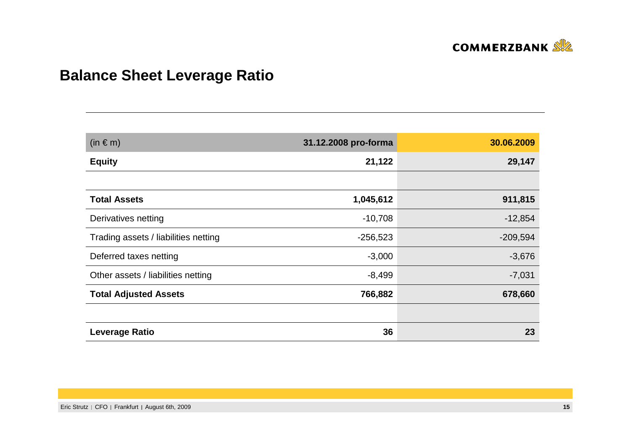

# **Balance Sheet Leverage Ratio**

| $(in \in m)$                         | 31.12.2008 pro-forma | 30.06.2009 |
|--------------------------------------|----------------------|------------|
| <b>Equity</b>                        | 21,122               | 29,147     |
|                                      |                      |            |
| <b>Total Assets</b>                  | 1,045,612            | 911,815    |
| Derivatives netting                  | $-10,708$            | $-12,854$  |
| Trading assets / liabilities netting | $-256,523$           | $-209,594$ |
| Deferred taxes netting               | $-3,000$             | $-3,676$   |
| Other assets / liabilities netting   | $-8,499$             | $-7,031$   |
| <b>Total Adjusted Assets</b>         | 766,882              | 678,660    |
|                                      |                      |            |
| <b>Leverage Ratio</b>                | 36                   | 23         |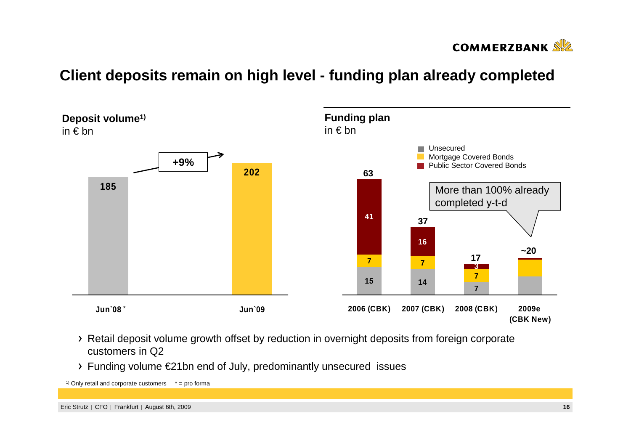

### **Client deposits remain on high level - funding plan already completed**



- Retail deposit volume growth offset by reduction in overnight deposits from foreign corporate customers in Q2
- Funding volume €21bn end of July, predominantly unsecured issues

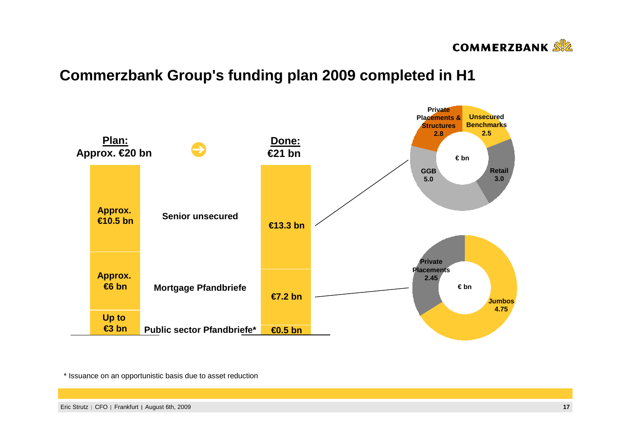

### **Commerzbank Group's funding plan 2009 completed in H1**



\* Issuance on an opportunistic basis due to asset reduction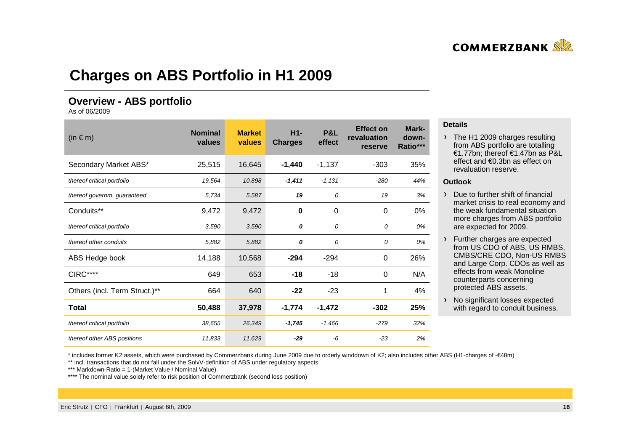

### **Charges on ABS Portfolio in H1 2009**

#### **Overview - ABS portfolio**

As of 06/2009

| $(in \in m)$                  | <b>Nominal</b><br>values | <b>Market</b><br>values | $H1-$<br><b>Charges</b> | P&L<br>effect | <b>Effect on</b><br>revaluation<br>reserve | Mark-<br>down-<br>Ratio*** |
|-------------------------------|--------------------------|-------------------------|-------------------------|---------------|--------------------------------------------|----------------------------|
| Secondary Market ABS*         | 25,515                   | 16,645                  | $-1,440$                | $-1,137$      | $-303$                                     | 35%                        |
| thereof critical portfolio    | 19,564                   | 10,898                  | $-1,411$                | $-1,131$      | $-280$                                     | 44%                        |
| thereof governm. guaranteed   | 5,734                    | 5,587                   | 19                      | 0             | 19                                         | 3%                         |
| Conduits**                    | 9,472                    | 9,472                   | 0                       | 0             | 0                                          | 0%                         |
| thereof critical portfolio    | 3,590                    | 3,590                   | 0                       | 0             | 0                                          | 0%                         |
| thereof other conduits        | 5,882                    | 5,882                   | 0                       | 0             | 0                                          | 0%                         |
| ABS Hedge book                | 14,188                   | 10,568                  | $-294$                  | $-294$        | 0                                          | 26%                        |
| CIRC****                      | 649                      | 653                     | $-18$                   | $-18$         | 0                                          | N/A                        |
| Others (incl. Term Struct.)** | 664                      | 640                     | $-22$                   | $-23$         | 1                                          | 4%                         |
| Total                         | 50,488                   | 37,978                  | $-1,774$                | $-1,472$      | $-302$                                     | 25%                        |
| thereof critical portfolio    | 38,655                   | 26,349                  | $-1,745$                | $-1,466$      | $-279$                                     | 32%                        |
| thereof other ABS positions   | 11,833                   | 11,629                  | $-29$                   | -6            | $-23$                                      | 2%                         |

#### **Details**

> The H1 2009 charges resulting from ABS portfolio are totalling €1.77bn; thereof €1.47bn as P&L effect and €0.3bn as effect on revaluation reserve.

#### **Outlook**

 $\triangleright$  Due to further shift of financial market crisis to real economy and the weak fundamental situation more charges from ABS portfolio are expected for 2009.

- Further charges are expected from US CDO of ABS, US RMBS, CMBS/CRE CDO, Non-US RMBS and Large Corp. CDOs as well as effects from weak Monolinecounterparts concerning protected ABS assets.
- > No significant losses expected with regard to conduit business.

\* includes former K2 assets, which were purchased by Commerzbank during June 2009 due to orderly winddown of K2; also includes other ABS (H1-charges of -€48m)

\*\* incl. transactions that do not fall under the SolvV-definition of ABS under regulatory aspects

\*\*\* Markdown-Ratio = 1-(Market Value / Nominal Value)

\*\*\*\* The nominal value solely refer to risk position of Commerzbank (second loss position)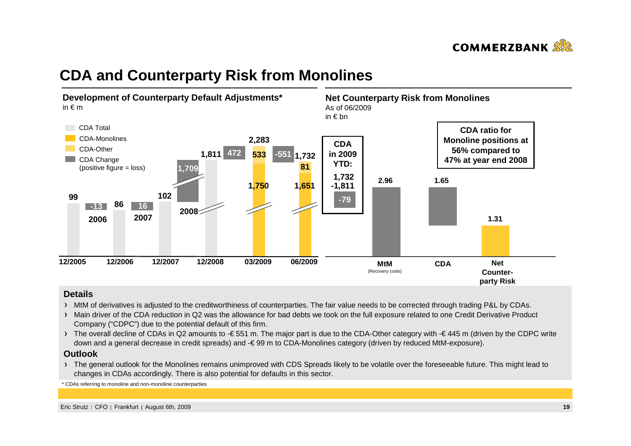

### **CDA and Counterparty Risk from Monolines**



#### **Details**

- MtM of derivatives is adjusted to the creditworthiness of counterparties. The fair value needs to be corrected through trading P&L by CDAs.
- > Main driver of the CDA reduction in Q2 was the allowance for bad debts we took on the full exposure related to one Credit Derivative Product Company ("CDPC") due to the potential default of this firm.
- > The overall decline of CDAs in Q2 amounts to -€ 551 m. The major part is due to the CDA-Other category with -€ 445 m (driven by the CDPC write down and a general decrease in credit spreads) and -€ 99 m to CDA-Monolines category (driven by reduced MtM-exposure).

#### **Outlook**

 The general outlook for the Monolines remains unimproved with CDS Spreads likely to be volatile over the foreseeable future. This might lead to changes in CDAs accordingly. There is also potential for defaults in this sector.

\*CDAs referring to monoline and non-monoline counterparties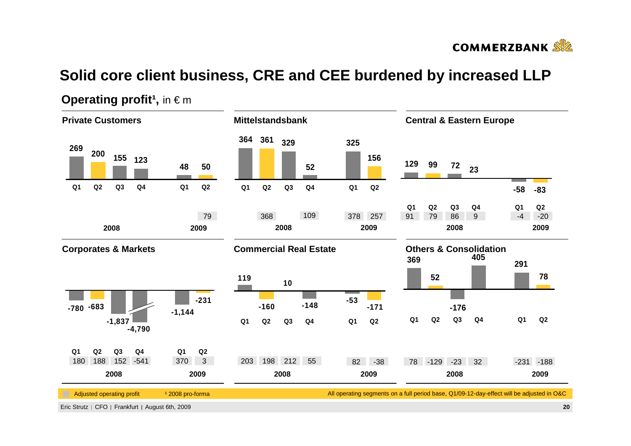

# **Solid core client business, CRE and CEE burdened by increased LLP**



#### **Operating profit<sup>1</sup>, in**  $\in$  **m**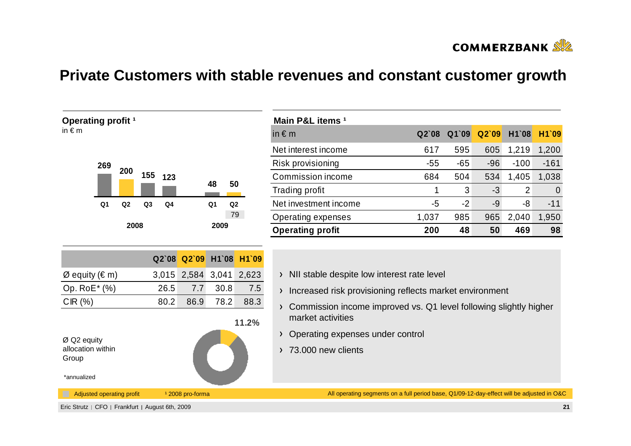

### **Private Customers with stable revenues and constant customer growth**



| Main P&L items <sup>1</sup> |         |       |       |        |          |
|-----------------------------|---------|-------|-------|--------|----------|
| in $\epsilon$ m             | $Q2$ 08 | Q1`09 | Q2'09 | H1`08  | H1`09    |
| Net interest income         | 617     | 595   | 605   | 1,219  | 1,200    |
| Risk provisioning           | $-55$   | $-65$ | $-96$ | $-100$ | $-161$   |
| Commission income           | 684     | 504   | 534   | 1,405  | 1,038    |
| Trading profit              | 1       | 3     | -3    | 2      | $\Omega$ |
| Net investment income       | -5      | $-2$  | -9    | -8     | $-11$    |
| Operating expenses          | 1,037   | 985   | 965   | 2,040  | 1,950    |
| <b>Operating profit</b>     | 200     | 48    | 50    | 469    | 98       |

- > NII stable despite low interest rate level
- > Increased risk provisioning reflects market environment
- Commission income improved vs. Q1 level following slightly higher market activities
- > Operating expenses under control
- > 73.000 new clients

\*annualized

Adjusted operating profit 12008 pro-forma

All operating segments on a full period base, Q1/09-12-day-effect will be adjusted in O&C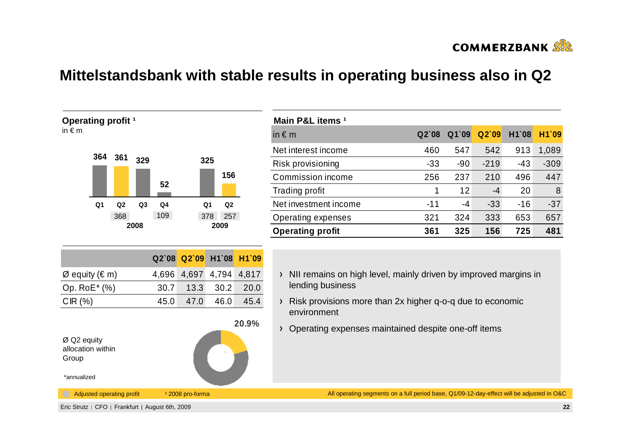

## **Mittelstandsbank with stable results in operating business also in Q2**



| Main P&L items <sup>1</sup> |         |       |        |       |        |
|-----------------------------|---------|-------|--------|-------|--------|
| in $\notin$ m               | $Q2$ 08 | Q1`09 | Q2'09  | H1`08 | H1`09  |
| Net interest income         | 460     | 547   | 542    | 913   | 1,089  |
| Risk provisioning           | $-33$   | -90   | $-219$ | $-43$ | $-309$ |
| Commission income           | 256     | 237   | 210    | 496   | 447    |
| Trading profit              | 1       | 12    | -4     | 20    | 8      |
| Net investment income       | $-11$   | -4    | $-33$  | $-16$ | $-37$  |
| Operating expenses          | 321     | 324   | 333    | 653   | 657    |
| <b>Operating profit</b>     | 361     | 325   | 156    | 725   | 481    |

- $\rightarrow$  NII remains on high level, mainly driven by improved margins in lending business
- Risk provisions more than 2x higher q-o-q due to economic environment
- Operating expenses maintained despite one-off items

All operating segments on a full period base, Q1/09-12-day-effect will be adjusted in O&C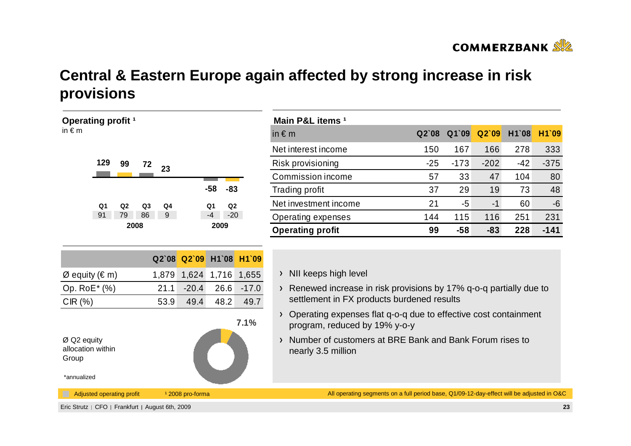

# **Central & Eastern Europe again affected by strong increase in risk provisions**

| Operating profit <sup>1</sup>                                                                                                                                       |                                                                                                            | Main P&L items <sup>1</sup>                                                                                                                                                                                                                                                                                                                        |       |        |        |       |                |
|---------------------------------------------------------------------------------------------------------------------------------------------------------------------|------------------------------------------------------------------------------------------------------------|----------------------------------------------------------------------------------------------------------------------------------------------------------------------------------------------------------------------------------------------------------------------------------------------------------------------------------------------------|-------|--------|--------|-------|----------------|
| in $\epsilon$ m                                                                                                                                                     |                                                                                                            | in $\notin$ m                                                                                                                                                                                                                                                                                                                                      | Q2'08 | Q1`09  | Q2'09  | H1`08 | <b>H1</b>      |
|                                                                                                                                                                     |                                                                                                            | Net interest income                                                                                                                                                                                                                                                                                                                                | 150   | 167    | 166    | 278   | 3              |
| 129<br>99<br>72<br>23                                                                                                                                               |                                                                                                            | Risk provisioning                                                                                                                                                                                                                                                                                                                                  | $-25$ | $-173$ | $-202$ | $-42$ | -3             |
|                                                                                                                                                                     |                                                                                                            | Commission income                                                                                                                                                                                                                                                                                                                                  | 57    | 33     | 47     | 104   |                |
|                                                                                                                                                                     | $-58$<br>$-83$                                                                                             | Trading profit                                                                                                                                                                                                                                                                                                                                     | 37    | 29     | 19     | 73    |                |
| Q <sub>1</sub><br>Q <sub>2</sub><br>Q <sub>4</sub><br>Q <sub>3</sub>                                                                                                | Q2<br>Q1                                                                                                   | Net investment income                                                                                                                                                                                                                                                                                                                              | 21    | $-5$   | $-1$   | 60    |                |
| 91<br>86<br>79<br>9                                                                                                                                                 | $-20$<br>$-4$                                                                                              | Operating expenses                                                                                                                                                                                                                                                                                                                                 | 144   | 115    | 116    | 251   | $\overline{2}$ |
| 2008                                                                                                                                                                | 2009                                                                                                       | <b>Operating profit</b>                                                                                                                                                                                                                                                                                                                            | 99    | $-58$  | $-83$  | 228   | -1             |
| Q2`08<br>$\varnothing$ equity ( $\in$ m)<br>1,879<br>Op. RoE* (%)<br>21.1<br>CIR(%)<br>53.9<br>$\varnothing$ Q2 equity<br>allocation within<br>Group<br>*annualized | Q2`09<br>H1`08<br>H1`09<br>1,624 1,716 1,655<br>$-20.4$<br>26.6<br>$-17.0$<br>49.4<br>48.2<br>49.7<br>7.1% | NII keeps high level<br>$\sum_{i=1}^{n}$<br>> Renewed increase in risk provisions by 17% q-o-q partially due to<br>settlement in FX products burdened results<br>Operating expenses flat q-o-q due to effective cost containment<br>program, reduced by 19% y-o-y<br>Number of customers at BRE Bank and Bank Forum rises to<br>nearly 3.5 million |       |        |        |       |                |
| Adjusted operating profit                                                                                                                                           | <sup>1</sup> 2008 pro-forma                                                                                | All operating segments on a full period base, Q1/09-12-day-effect will be adjusted in                                                                                                                                                                                                                                                              |       |        |        |       |                |
| Eric Strutz   CFO   Frankfurt   August 6th. 2009                                                                                                                    |                                                                                                            |                                                                                                                                                                                                                                                                                                                                                    |       |        |        |       |                |

| Main P&L items <sup>1</sup> |       |        |        |       |        |
|-----------------------------|-------|--------|--------|-------|--------|
| in $\epsilon$ m             | Q2'08 | Q1`09  | Q2'09  | H1`08 | H1`09  |
| Net interest income         | 150   | 167    | 166    | 278   | 333    |
| Risk provisioning           | $-25$ | $-173$ | $-202$ | $-42$ | $-375$ |
| Commission income           | 57    | 33     | 47     | 104   | 80     |
| <b>Trading profit</b>       | 37    | 29     | 19     | 73    | 48     |
| Net investment income       | 21    | -5     | $-1$   | 60    | $-6$   |
| Operating expenses          | 144   | 115    | 116    | 251   | 231    |
| <b>Operating profit</b>     | 99    | -58    | $-83$  | 228   | -141   |

All operating segments on a full period base, Q1/09-12-day-effect will be adjusted in O&C

**<sup>23</sup>**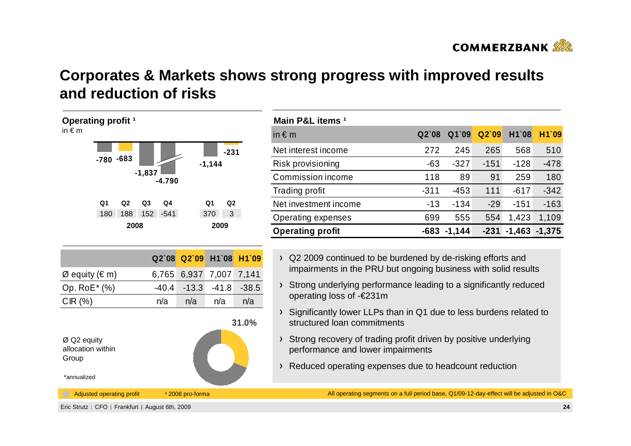

## **Corporates & Markets shows strong progress with improved resultsand reduction of risks**



| Main P&L items <sup>1</sup> |        |          |        |          |          |
|-----------------------------|--------|----------|--------|----------|----------|
| in $\epsilon$ m             | Q2'08  | Q1`09    | Q2'09  | H1`08    | H1`09    |
| Net interest income         | 272    | 245      | 265    | 568      | 510      |
| Risk provisioning           | $-63$  | $-327$   | $-151$ | $-128$   | $-478$   |
| Commission income           | 118    | 89       | 91     | 259      | 180      |
| Trading profit              | $-311$ | $-453$   | 111    | $-617$   | $-342$   |
| Net investment income       | $-13$  | $-134$   | $-29$  | $-151$   | $-163$   |
| Operating expenses          | 699    | 555      | 554    | 1,423    | 1,109    |
| <b>Operating profit</b>     | $-683$ | $-1,144$ | $-231$ | $-1,463$ | $-1,375$ |

- > Q2 2009 continued to be burdened by de-risking efforts and impairments in the PRU but ongoing business with solid results
- > Strong underlying performance leading to a significantly reduced operating loss of -€231m
- Significantly lower LLPs than in Q1 due to less burdens related to structured loan commitments
- Strong recovery of trading profit driven by positive underlying performance and lower impairments
- Reduced operating expenses due to headcount reduction

All operating segments on a full period base, Q1/09-12-day-effect will be adjusted in O&C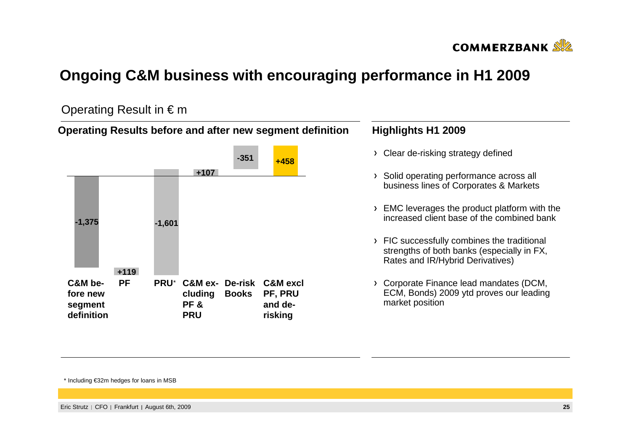

## **Ongoing C&M business with encouraging performance in H1 2009**

#### Operating Result in  $\epsilon$  m



\* Including €32m hedges for loans in MSB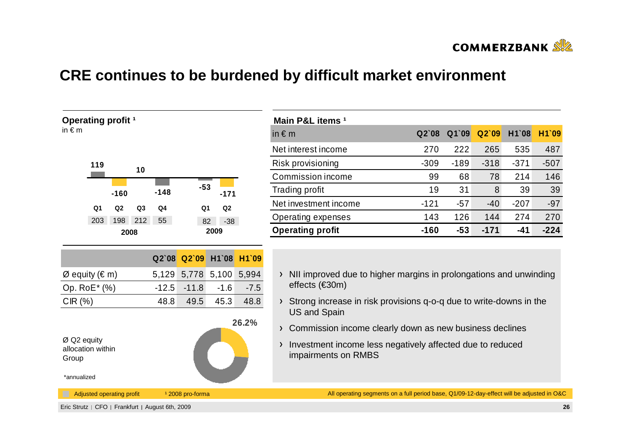

## **CRE continues to be burdened by difficult market environment**

| Operating profit <sup>1</sup><br>in $\epsilon$ m |                |                                  |                |         |                             |                |        | M              |
|--------------------------------------------------|----------------|----------------------------------|----------------|---------|-----------------------------|----------------|--------|----------------|
|                                                  |                |                                  |                |         |                             |                |        | in             |
|                                                  |                |                                  |                |         |                             |                |        | Nε             |
|                                                  | 119            |                                  | 10             |         |                             |                |        | Ri             |
|                                                  |                |                                  |                |         | $-53$                       |                |        | C <sub>0</sub> |
|                                                  |                | $-160$                           |                | $-148$  |                             | $-171$         |        | Tr             |
|                                                  | Q <sub>1</sub> | Q <sub>2</sub>                   | Q <sub>3</sub> | Q4      | Q <sub>1</sub>              | Q <sub>2</sub> |        | Nε             |
|                                                  | 203            | 198                              | 212            | 55      | 82                          | $-38$          |        | $\overline{O}$ |
|                                                  |                | 2008                             |                |         |                             | 2009           |        | O <sub>1</sub> |
|                                                  |                |                                  |                |         |                             |                |        |                |
|                                                  |                |                                  |                | Q2`08   | Q2`09                       | H1`08          | H1`09  |                |
| Ø equity ( $\in$ m)                              |                |                                  |                | 5,129   | 5,778                       | 5,100          | 5,994  |                |
| Op. RoE* (%)                                     |                |                                  |                | $-12.5$ | $-11.8$                     | $-1.6$         | $-7.5$ |                |
| CIR(%)                                           |                |                                  |                | 48.8    | 49.5                        | 45.3           | 48.8   |                |
|                                                  |                |                                  |                |         |                             |                |        |                |
|                                                  |                |                                  |                |         |                             |                | 26.2%  |                |
| Ø Q2 equity                                      |                |                                  |                |         |                             |                |        |                |
| allocation within<br>Group                       |                |                                  |                |         |                             |                |        |                |
| *annualized                                      |                |                                  |                |         |                             |                |        |                |
| H                                                |                | <b>Adjusted operating profit</b> |                |         | <sup>1</sup> 2008 pro-forma |                |        |                |

| Main P&L items <sup>1</sup> |         |        |        |        |        |
|-----------------------------|---------|--------|--------|--------|--------|
| in $\epsilon$ m             | $Q2$ 08 | Q1`09  | Q2'09  | H1`08  | H1`09  |
| Net interest income         | 270     | 222    | 265    | 535    | 487    |
| Risk provisioning           | $-309$  | $-189$ | $-318$ | $-371$ | $-507$ |
| Commission income           | 99      | 68     | 78     | 214    | 146    |
| Trading profit              | 19      | 31     | 8      | 39     | 39     |
| Net investment income       | $-121$  | $-57$  | -40    | $-207$ | $-97$  |
| Operating expenses          | 143     | 126    | 144    | 274    | 270    |
| <b>Operating profit</b>     | $-160$  | $-53$  | $-171$ | -41    | $-224$ |

- NII improved due to higher margins in prolongations and unwinding effects (€30m)
- Strong increase in risk provisions q-o-q due to write-downs in the US and Spain
- Commission income clearly down as new business declines
- Investment income less negatively affected due to reduced impairments on RMBS

All operating segments on a full period base, Q1/09-12-day-effect will be adjusted in O&C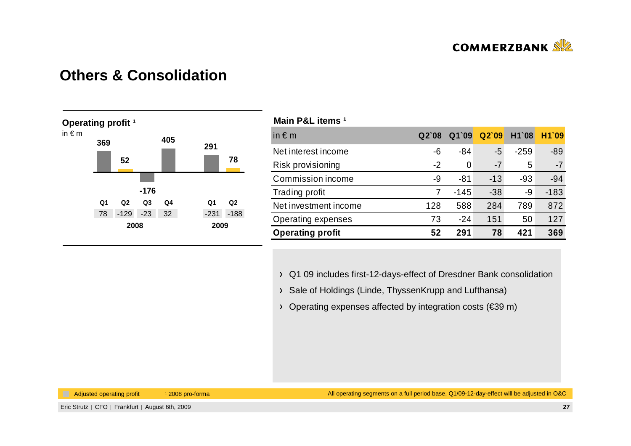

#### **Others & Consolidation**



| Main P&L items <sup>1</sup> |       |        |       |        |        |
|-----------------------------|-------|--------|-------|--------|--------|
| in $\epsilon$ m             | Q2'08 | Q1`09  | Q2'09 | H1`08  | H1`09  |
| Net interest income         | -6    | $-84$  | $-5$  | $-259$ | $-89$  |
| Risk provisioning           | $-2$  | 0      | $-7$  | 5      | $-7$   |
| Commission income           | -9    | $-81$  | $-13$ | $-93$  | $-94$  |
| <b>Trading profit</b>       | 7     | $-145$ | $-38$ | -9     | $-183$ |
| Net investment income       | 128   | 588    | 284   | 789    | 872    |
| Operating expenses          | 73    | $-24$  | 151   | 50     | 127    |
| <b>Operating profit</b>     | 52    | 291    | 78    | 421    | 369    |

Q1 09 includes first-12-days-effect of Dresdner Bank consolidation

- > Sale of Holdings (Linde, ThyssenKrupp and Lufthansa)
- Operating expenses affected by integration costs (€39 m)

Adjusted operating profit 12008 pro-forma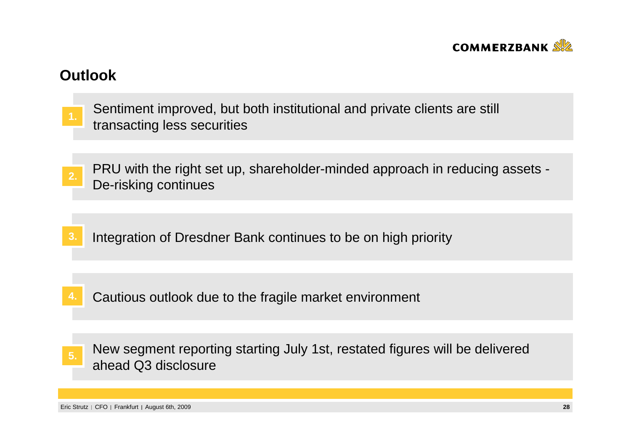

### **Outlook**

- Sentiment improved, but both institutional and private clients are still transacting less securities **1.**
- PRU with the right set up, shareholder-minded approach in reducing assets -De-risking continues **2.**
- **3.**Integration of Dresdner Bank continues to be on high priority
- **4.**Cautious outlook due to the fragile market environment
- New segment reporting starting July 1st, restated figures will be delivered ahead Q3 disclosure**5.**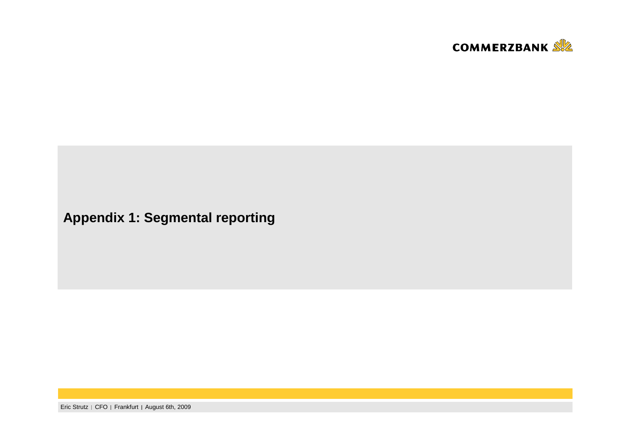

# **Appendix 1: Segmental reporting**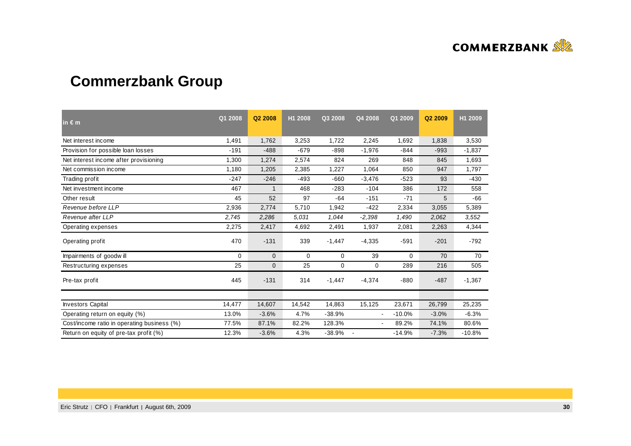

# **Commerzbank Group**

| in $\epsilon$ m                             | Q1 2008  | Q <sub>2</sub> 2008 | H1 2008 | Q3 2008  | Q4 2008        | Q1 2009  | Q <sub>2</sub> 2009 | H1 2009  |
|---------------------------------------------|----------|---------------------|---------|----------|----------------|----------|---------------------|----------|
| Net interest income                         | 1,491    | 1,762               | 3,253   | 1,722    | 2,245          | 1,692    | 1,838               | 3,530    |
| Provision for possible loan losses          | $-191$   | $-488$              | $-679$  | $-898$   | $-1,976$       | $-844$   | $-993$              | $-1,837$ |
| Net interest income after provisioning      | 1,300    | 1,274               | 2,574   | 824      | 269            | 848      | 845                 | 1,693    |
| Net commission income                       | 1,180    | 1,205               | 2,385   | 1,227    | 1,064          | 850      | 947                 | 1,797    |
| Trading profit                              | $-247$   | $-246$              | -493    | $-660$   | $-3,476$       | $-523$   | 93                  | -430     |
| Net investment income                       | 467      | $\mathbf{1}$        | 468     | $-283$   | $-104$         | 386      | 172                 | 558      |
| Other result                                | 45       | 52                  | 97      | $-64$    | $-151$         | $-71$    | 5                   | $-66$    |
| Revenue before LLP                          | 2,936    | 2,774               | 5,710   | 1,942    | $-422$         | 2,334    | 3,055               | 5,389    |
| Revenue after LLP                           | 2,745    | 2,286               | 5.031   | 1,044    | $-2,398$       | 1,490    | 2,062               | 3,552    |
| Operating expenses                          | 2,275    | 2,417               | 4,692   | 2,491    | 1,937          | 2,081    | 2,263               | 4,344    |
| Operating profit                            | 470      | $-131$              | 339     | $-1,447$ | $-4,335$       | $-591$   | $-201$              | $-792$   |
| Impairments of goodwill                     | $\Omega$ | $\mathbf{0}$        | 0       | 0        | 39             | $\Omega$ | 70                  | 70       |
| Restructuring expenses                      | 25       | $\mathbf 0$         | 25      | 0        | 0              | 289      | 216                 | 505      |
| Pre-tax profit                              | 445      | $-131$              | 314     | $-1,447$ | $-4,374$       | $-880$   | $-487$              | $-1,367$ |
|                                             |          |                     |         |          |                |          |                     |          |
| <b>Investors Capital</b>                    | 14,477   | 14,607              | 14,542  | 14,863   | 15,125         | 23,671   | 26,799              | 25,235   |
| Operating return on equity (%)              | 13.0%    | $-3.6%$             | 4.7%    | $-38.9%$ | $\blacksquare$ | $-10.0%$ | $-3.0%$             | $-6.3%$  |
| Cost/income ratio in operating business (%) | 77.5%    | 87.1%               | 82.2%   | 128.3%   | $\blacksquare$ | 89.2%    | 74.1%               | 80.6%    |
| Return on equity of pre-tax profit (%)      | 12.3%    | $-3.6%$             | 4.3%    | $-38.9%$ |                | $-14.9%$ | $-7.3%$             | $-10.8%$ |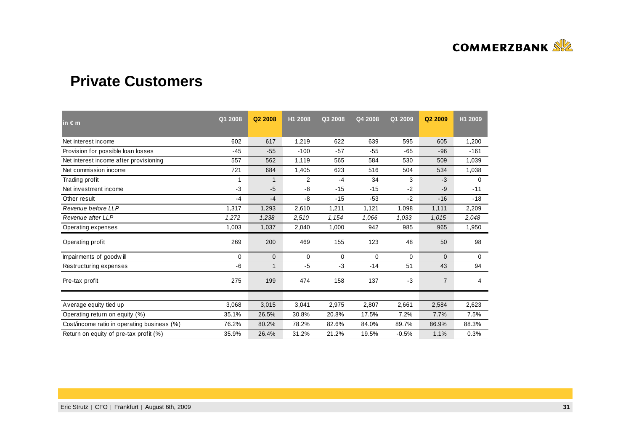

### **Private Customers**

| in $\epsilon$ m                             | Q1 2008 | Q2 2008     | H1 2008 | Q3 2008 | Q4 2008 | Q1 2009  | Q2 2009        | H1 2009 |
|---------------------------------------------|---------|-------------|---------|---------|---------|----------|----------------|---------|
| Net interest income                         | 602     | 617         | 1,219   | 622     | 639     | 595      | 605            | 1,200   |
| Provision for possible loan losses          | $-45$   | $-55$       | $-100$  | $-57$   | $-55$   | $-65$    | $-96$          | $-161$  |
| Net interest income after provisioning      | 557     | 562         | 1,119   | 565     | 584     | 530      | 509            | 1,039   |
| Net commission income                       | 721     | 684         | 1,405   | 623     | 516     | 504      | 534            | 1,038   |
| Trading profit                              | 1       | $\mathbf 1$ | 2       | -4      | 34      | 3        | $-3$           | 0       |
| Net investment income                       | $-3$    | $-5$        | -8      | $-15$   | $-15$   | $-2$     | $-9$           | $-11$   |
| Other result                                | $-4$    | $-4$        | -8      | $-15$   | $-53$   | $-2$     | $-16$          | $-18$   |
| Revenue before LLP                          | 1,317   | 1,293       | 2,610   | 1,211   | 1,121   | 1,098    | 1,111          | 2,209   |
| Revenue after LLP                           | 1,272   | 1,238       | 2,510   | 1,154   | 1,066   | 1,033    | 1,015          | 2.048   |
| Operating expenses                          | 1,003   | 1,037       | 2,040   | 1,000   | 942     | 985      | 965            | 1,950   |
| Operating profit                            | 269     | 200         | 469     | 155     | 123     | 48       | 50             | 98      |
| Impairments of goodwill                     | 0       | $\mathbf 0$ | 0       | 0       | 0       | $\Omega$ | $\Omega$       | 0       |
| Restructuring expenses                      | -6      | 1           | $-5$    | $-3$    | $-14$   | 51       | 43             | 94      |
| Pre-tax profit                              | 275     | 199         | 474     | 158     | 137     | $-3$     | $\overline{7}$ | 4       |
|                                             |         |             |         |         |         |          |                |         |
| Average equity tied up                      | 3,068   | 3,015       | 3,041   | 2,975   | 2,807   | 2,661    | 2,584          | 2,623   |
| Operating return on equity (%)              | 35.1%   | 26.5%       | 30.8%   | 20.8%   | 17.5%   | 7.2%     | 7.7%           | 7.5%    |
| Cost/income ratio in operating business (%) | 76.2%   | 80.2%       | 78.2%   | 82.6%   | 84.0%   | 89.7%    | 86.9%          | 88.3%   |
| Return on equity of pre-tax profit (%)      | 35.9%   | 26.4%       | 31.2%   | 21.2%   | 19.5%   | $-0.5%$  | 1.1%           | 0.3%    |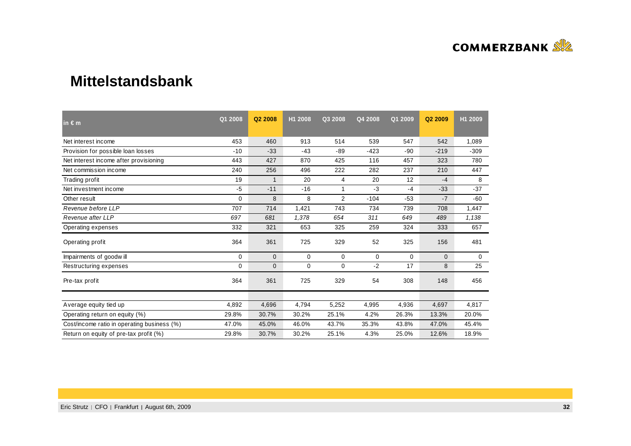

#### **Mittelstandsbank**

| in $\epsilon$ m                             | Q1 2008  | Q <sub>2</sub> 2008 | H1 2008 | Q3 2008        | Q4 2008     | Q1 2009     | Q2 2009      | H1 2009     |
|---------------------------------------------|----------|---------------------|---------|----------------|-------------|-------------|--------------|-------------|
| Net interest income                         | 453      | 460                 | 913     | 514            | 539         | 547         | 542          | 1,089       |
| Provision for possible loan losses          | $-10$    | $-33$               | $-43$   | $-89$          | $-423$      | -90         | $-219$       | $-309$      |
| Net interest income after provisioning      | 443      | 427                 | 870     | 425            | 116         | 457         | 323          | 780         |
| Net commission income                       | 240      | 256                 | 496     | 222            | 282         | 237         | 210          | 447         |
| Trading profit                              | 19       | 1                   | 20      | 4              | 20          | 12          | $-4$         | 8           |
| Net investment income                       | $-5$     | $-11$               | $-16$   |                | $-3$        | $-4$        | $-33$        | $-37$       |
| Other result                                | $\Omega$ | 8                   | 8       | $\overline{2}$ | $-104$      | $-53$       | $-7$         | $-60$       |
| Revenue before LLP                          | 707      | 714                 | 1,421   | 743            | 734         | 739         | 708          | 1,447       |
| Revenue after LLP                           | 697      | 681                 | 1,378   | 654            | 311         | 649         | 489          | 1,138       |
| Operating expenses                          | 332      | 321                 | 653     | 325            | 259         | 324         | 333          | 657         |
| Operating profit                            | 364      | 361                 | 725     | 329            | 52          | 325         | 156          | 481         |
| Impairments of goodwill                     | 0        | $\mathbf{0}$        | 0       | $\mathbf 0$    | $\mathbf 0$ | $\mathbf 0$ | $\mathbf{0}$ | $\mathbf 0$ |
| Restructuring expenses                      | 0        | 0                   | 0       | 0              | $-2$        | 17          | 8            | 25          |
| Pre-tax profit                              | 364      | 361                 | 725     | 329            | 54          | 308         | 148          | 456         |
|                                             |          |                     |         |                |             |             |              |             |
| Average equity tied up                      | 4,892    | 4,696               | 4,794   | 5,252          | 4,995       | 4,936       | 4,697        | 4,817       |
| Operating return on equity (%)              | 29.8%    | 30.7%               | 30.2%   | 25.1%          | 4.2%        | 26.3%       | 13.3%        | 20.0%       |
| Cost/income ratio in operating business (%) | 47.0%    | 45.0%               | 46.0%   | 43.7%          | 35.3%       | 43.8%       | 47.0%        | 45.4%       |
| Return on equity of pre-tax profit (%)      | 29.8%    | 30.7%               | 30.2%   | 25.1%          | 4.3%        | 25.0%       | 12.6%        | 18.9%       |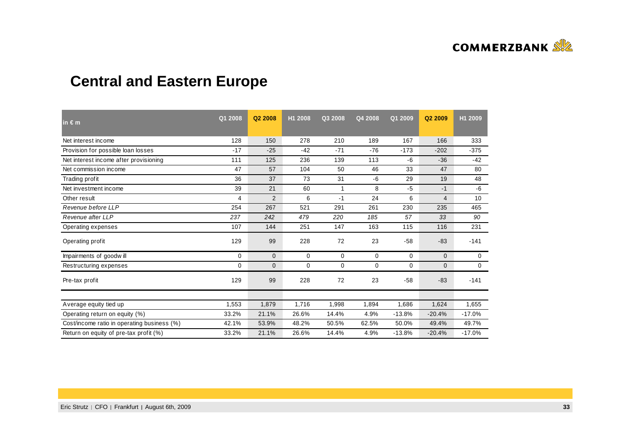

# **Central and Eastern Europe**

| $in \in m$                                  | Q1 2008     | Q <sub>2</sub> 2008 | H1 2008     | Q3 2008     | Q4 2008 | Q1 2009  | Q <sub>2</sub> 2009 | H1 2009  |
|---------------------------------------------|-------------|---------------------|-------------|-------------|---------|----------|---------------------|----------|
| Net interest income                         | 128         | 150                 | 278         | 210         | 189     | 167      | 166                 | 333      |
| Provision for possible loan losses          | $-17$       | $-25$               | $-42$       | $-71$       | $-76$   | $-173$   | $-202$              | $-375$   |
| Net interest income after provisioning      | 111         | 125                 | 236         | 139         | 113     | -6       | $-36$               | $-42$    |
| Net commission income                       | 47          | 57                  | 104         | 50          | 46      | 33       | 47                  | 80       |
| Trading profit                              | 36          | 37                  | 73          | 31          | -6      | 29       | 19                  | 48       |
| Net investment income                       | 39          | 21                  | 60          | 1           | 8       | $-5$     | $-1$                | $-6$     |
| Other result                                | 4           | $\overline{2}$      | 6           | $-1$        | 24      | 6        | $\overline{4}$      | 10       |
| Revenue before LLP                          | 254         | 267                 | 521         | 291         | 261     | 230      | 235                 | 465      |
| Revenue after LLP                           | 237         | 242                 | 479         | 220         | 185     | 57       | 33                  | 90       |
| Operating expenses                          | 107         | 144                 | 251         | 147         | 163     | 115      | 116                 | 231      |
| Operating profit                            | 129         | 99                  | 228         | 72          | 23      | $-58$    | $-83$               | $-141$   |
| Impairments of goodwill                     | $\Omega$    | $\mathbf{0}$        | 0           | 0           | 0       | $\Omega$ | $\mathbf{0}$        | 0        |
| Restructuring expenses                      | $\mathbf 0$ | $\mathbf 0$         | $\mathbf 0$ | $\mathbf 0$ | 0       | 0        | $\mathbf{0}$        | 0        |
| Pre-tax profit                              | 129         | 99                  | 228         | 72          | 23      | $-58$    | $-83$               | $-141$   |
|                                             |             |                     |             |             |         |          |                     |          |
| Average equity tied up                      | 1,553       | 1,879               | 1,716       | 1,998       | 1,894   | 1,686    | 1,624               | 1,655    |
| Operating return on equity (%)              | 33.2%       | 21.1%               | 26.6%       | 14.4%       | 4.9%    | $-13.8%$ | $-20.4%$            | $-17.0%$ |
| Cost/income ratio in operating business (%) | 42.1%       | 53.9%               | 48.2%       | 50.5%       | 62.5%   | 50.0%    | 49.4%               | 49.7%    |
| Return on equity of pre-tax profit (%)      | 33.2%       | 21.1%               | 26.6%       | 14.4%       | 4.9%    | $-13.8%$ | $-20.4%$            | $-17.0%$ |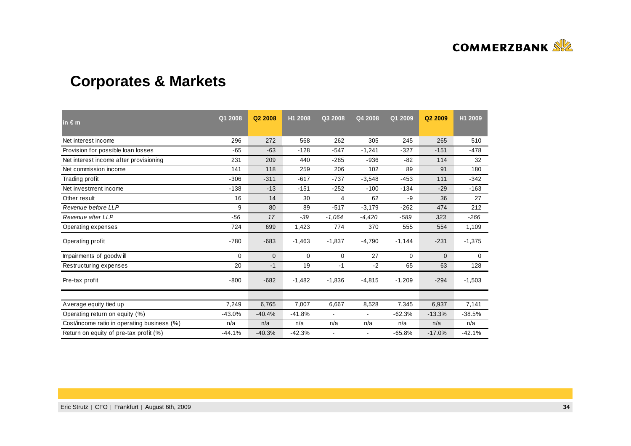

# **Corporates & Markets**

| $\mathsf{in} \in \mathsf{m}$                | Q1 2008  | Q2 2008     | H1 2008  | Q3 2008        | Q4 2008                  | Q1 2009  | Q2 2009      | H1 2009     |
|---------------------------------------------|----------|-------------|----------|----------------|--------------------------|----------|--------------|-------------|
| Net interest income                         | 296      | 272         | 568      | 262            | 305                      | 245      | 265          | 510         |
| Provision for possible loan losses          | $-65$    | $-63$       | $-128$   | $-547$         | $-1,241$                 | $-327$   | $-151$       | $-478$      |
| Net interest income after provisioning      | 231      | 209         | 440      | $-285$         | $-936$                   | -82      | 114          | 32          |
| Net commission income                       | 141      | 118         | 259      | 206            | 102                      | 89       | 91           | 180         |
| Trading profit                              | $-306$   | $-311$      | $-617$   | $-737$         | $-3,548$                 | $-453$   | 111          | $-342$      |
| Net investment income                       | $-138$   | $-13$       | $-151$   | $-252$         | $-100$                   | $-134$   | $-29$        | $-163$      |
| Other result                                | 16       | 14          | 30       | 4              | 62                       | -9       | 36           | 27          |
| Revenue before LLP                          | 9        | 80          | 89       | $-517$         | $-3,179$                 | $-262$   | 474          | 212         |
| Revenue after LLP                           | $-56$    | 17          | $-39$    | $-1.064$       | $-4,420$                 | -589     | 323          | $-266$      |
| Operating expenses                          | 724      | 699         | 1,423    | 774            | 370                      | 555      | 554          | 1,109       |
| Operating profit                            | $-780$   | $-683$      | $-1,463$ | $-1,837$       | $-4,790$                 | $-1,144$ | $-231$       | $-1,375$    |
| Impairments of goodwill                     | 0        | $\mathbf 0$ | 0        | 0              | 27                       | 0        | $\mathbf{0}$ | $\mathbf 0$ |
| Restructuring expenses                      | 20       | $-1$        | 19       | $-1$           | $-2$                     | 65       | 63           | 128         |
| Pre-tax profit                              | $-800$   | $-682$      | $-1,482$ | $-1,836$       | $-4,815$                 | $-1,209$ | $-294$       | $-1,503$    |
|                                             |          |             |          |                |                          |          |              |             |
| Average equity tied up                      | 7,249    | 6,765       | 7,007    | 6,667          | 8,528                    | 7,345    | 6,937        | 7,141       |
| Operating return on equity (%)              | $-43.0%$ | $-40.4%$    | $-41.8%$ | $\blacksquare$ | $\overline{\phantom{0}}$ | $-62.3%$ | $-13.3%$     | $-38.5%$    |
| Cost/income ratio in operating business (%) | n/a      | n/a         | n/a      | n/a            | n/a                      | n/a      | n/a          | n/a         |
| Return on equity of pre-tax profit (%)      | $-44.1%$ | $-40.3%$    | $-42.3%$ |                | $\blacksquare$           | $-65.8%$ | $-17.0%$     | $-42.1%$    |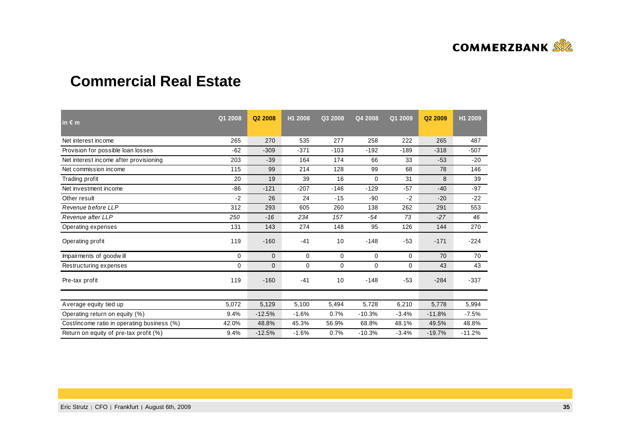

### **Commercial Real Estate**

| in $\epsilon$ m                             | Q1 2008 | Q2 2008      | H1 2008     | Q3 2008     | Q4 2008     | Q1 2009 | Q2 2009  | H1 2009  |
|---------------------------------------------|---------|--------------|-------------|-------------|-------------|---------|----------|----------|
| Net interest income                         | 265     | 270          | 535         | 277         | 258         | 222     | 265      | 487      |
| Provision for possible loan losses          | $-62$   | $-309$       | $-371$      | $-103$      | $-192$      | $-189$  | $-318$   | $-507$   |
| Net interest income after provisioning      | 203     | $-39$        | 164         | 174         | 66          | 33      | $-53$    | $-20$    |
| Net commission income                       | 115     | 99           | 214         | 128         | 99          | 68      | 78       | 146      |
| Trading profit                              | 20      | 19           | 39          | 16          | 0           | 31      | 8        | 39       |
| Net investment income                       | $-86$   | $-121$       | $-207$      | $-146$      | $-129$      | $-57$   | $-40$    | $-97$    |
| Other result                                | $-2$    | 26           | 24          | $-15$       | $-90$       | $-2$    | $-20$    | $-22$    |
| Revenue before LLP                          | 312     | 293          | 605         | 260         | 138         | 262     | 291      | 553      |
| Revenue after LLP                           | 250     | $-16$        | 234         | 157         | $-54$       | 73      | $-27$    | 46       |
| Operating expenses                          | 131     | 143          | 274         | 148         | 95          | 126     | 144      | 270      |
| Operating profit                            | 119     | $-160$       | $-41$       | 10          | $-148$      | $-53$   | $-171$   | $-224$   |
| Impairments of goodwill                     | 0       | $\mathbf{0}$ | $\mathbf 0$ | $\mathbf 0$ | $\mathbf 0$ | 0       | 70       | 70       |
| Restructuring expenses                      | 0       | 0            | 0           | $\mathbf 0$ | 0           | 0       | 43       | 43       |
| Pre-tax profit                              | 119     | $-160$       | $-41$       | 10          | $-148$      | $-53$   | $-284$   | $-337$   |
|                                             |         |              |             |             |             |         |          |          |
| Average equity tied up                      | 5,072   | 5,129        | 5,100       | 5,494       | 5,728       | 6,210   | 5,778    | 5,994    |
| Operating return on equity (%)              | 9.4%    | $-12.5%$     | $-1.6%$     | 0.7%        | $-10.3%$    | $-3.4%$ | $-11.8%$ | $-7.5%$  |
| Cost/income ratio in operating business (%) | 42.0%   | 48.8%        | 45.3%       | 56.9%       | 68.8%       | 48.1%   | 49.5%    | 48.8%    |
| Return on equity of pre-tax profit (%)      | 9.4%    | $-12.5%$     | $-1.6%$     | 0.7%        | $-10.3%$    | $-3.4%$ | $-19.7%$ | $-11.2%$ |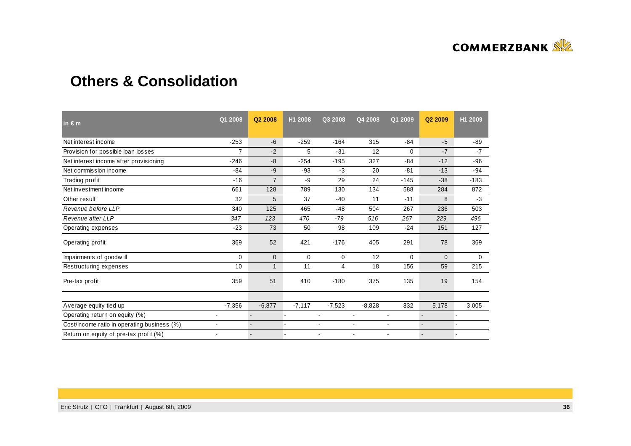

### **Others & Consolidation**

| in $\epsilon$ m                             | Q1 2008        | Q <sub>2</sub> 2008 | H1 2008        | Q3 2008        | Q4 2008        | Q1 2009                  | Q2 2009  | H1 2009  |
|---------------------------------------------|----------------|---------------------|----------------|----------------|----------------|--------------------------|----------|----------|
| Net interest income                         | $-253$         | $-6$                | $-259$         | $-164$         | 315            | $-84$                    | $-5$     | -89      |
| Provision for possible loan losses          | $\overline{7}$ | $-2$                | 5              | $-31$          | 12             | 0                        | $-7$     | $-7$     |
| Net interest income after provisioning      | $-246$         | -8                  | $-254$         | $-195$         | 327            | $-84$                    | $-12$    | $-96$    |
| Net commission income                       | $-84$          | $-9$                | $-93$          | $-3$           | 20             | $-81$                    | $-13$    | -94      |
| Trading profit                              | $-16$          | $\overline{7}$      | $-9$           | 29             | 24             | $-145$                   | $-38$    | $-183$   |
| Net investment income                       | 661            | 128                 | 789            | 130            | 134            | 588                      | 284      | 872      |
| Other result                                | 32             | 5                   | 37             | $-40$          | 11             | $-11$                    | 8        | -3       |
| Revenue before LLP                          | 340            | 125                 | 465            | $-48$          | 504            | 267                      | 236      | 503      |
| Revenue after LLP                           | 347            | 123                 | 470            | $-79$          | 516            | 267                      | 229      | 496      |
| Operating expenses                          | $-23$          | 73                  | 50             | 98             | 109            | -24                      | 151      | 127      |
| Operating profit                            | 369            | 52                  | 421            | $-176$         | 405            | 291                      | 78       | 369      |
| Impairments of goodwill                     | 0              | $\mathbf{0}$        | $\Omega$       | 0              | 12             | $\Omega$                 | $\Omega$ | $\Omega$ |
| Restructuring expenses                      | 10             | $\mathbf{1}$        | 11             | 4              | 18             | 156                      | 59       | 215      |
| Pre-tax profit                              | 359            | 51                  | 410            | $-180$         | 375            | 135                      | 19       | 154      |
|                                             |                |                     |                |                |                |                          |          |          |
| Average equity tied up                      | $-7,356$       | $-6,877$            | $-7,117$       | $-7,523$       | $-8,828$       | 832                      | 5,178    | 3,005    |
| Operating return on equity (%)              | ٠              |                     |                | ۰              | $\blacksquare$ | $\blacksquare$           |          |          |
| Cost/income ratio in operating business (%) | $\blacksquare$ |                     | $\blacksquare$ | $\blacksquare$ | $\blacksquare$ | $\overline{\phantom{a}}$ |          |          |
| Return on equity of pre-tax profit (%)      | ٠              |                     |                | ٠              | ٠              | ٠                        |          |          |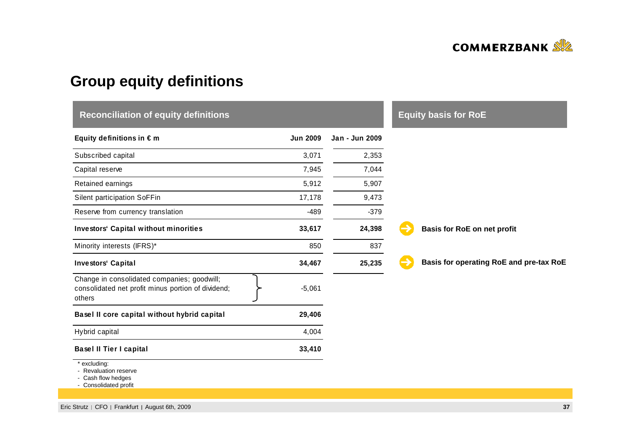

# **Group equity definitions**

| <b>Reconciliation of equity definitions</b>                                                                 |                 | <b>Equity basis for RoE</b> |                                         |
|-------------------------------------------------------------------------------------------------------------|-----------------|-----------------------------|-----------------------------------------|
| Equity definitions in $\epsilon$ m                                                                          | <b>Jun 2009</b> | Jan - Jun 2009              |                                         |
| Subscribed capital                                                                                          | 3,071           | 2,353                       |                                         |
| Capital reserve                                                                                             | 7,945           | 7,044                       |                                         |
| Retained earnings                                                                                           | 5,912           | 5,907                       |                                         |
| Silent participation SoFFin                                                                                 | 17,178          | 9,473                       |                                         |
| Reserve from currency translation                                                                           | -489            | $-379$                      |                                         |
| <b>Investors' Capital without minorities</b>                                                                | 33,617          | 24,398                      | Basis for RoE on net profit             |
| Minority interests (IFRS)*                                                                                  | 850             | 837                         |                                         |
| <b>Investors' Capital</b>                                                                                   | 34,467          | 25,235                      | Basis for operating RoE and pre-tax RoE |
| Change in consolidated companies; goodwill;<br>consolidated net profit minus portion of dividend;<br>others | $-5,061$        |                             |                                         |
| Basel II core capital without hybrid capital                                                                | 29,406          |                             |                                         |
| Hybrid capital                                                                                              | 4,004           |                             |                                         |
| <b>Basel II Tier I capital</b>                                                                              | 33,410          |                             |                                         |
| excluding:<br>- Revaluation reserve<br>Cash flow hedges<br>- Consolidated profit                            |                 |                             |                                         |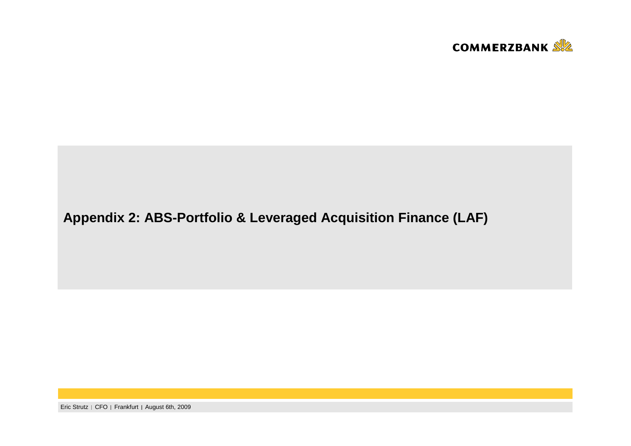

## **Appendix 2: ABS-Portfolio & Leveraged Acquisition Finance (LAF)**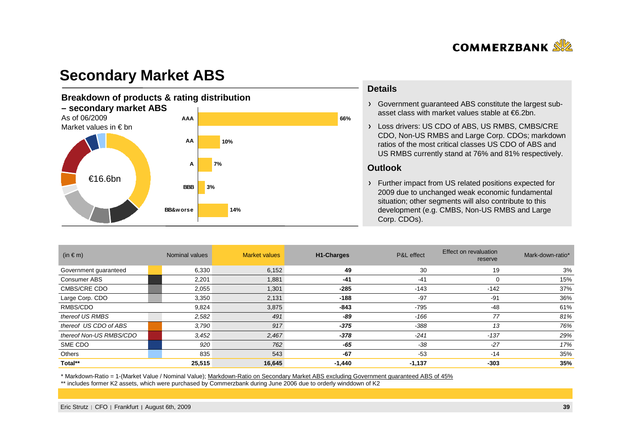

### **Secondary Market ABS**

#### **Breakdown of products & rating distribution – secondary market ABS**As of 06/2009 Market values in € bn€16.6bn**14%3%10%66%7%BB&worseBBBAAAAAA**

#### **Details**

Government guaranteed ABS constitute the largest subasset class with market values stable at €6.2bn.

Loss drivers: US CDO of ABS, US RMBS, CMBS/CRE CDO, Non-US RMBS and Large Corp. CDOs; markdown ratios of the most critical classes US CDO of ABS and US RMBS currently stand at 76% and 81% respectively.

#### **Outlook**

Further impact from US related positions expected for 2009 due to unchanged weak economic fundamental situation; other segments will also contribute to this development (e.g. CMBS, Non-US RMBS and Large Corp. CDOs).

| (in $\in$ m)            | Nominal values | <b>Market values</b> | <b>H1-Charges</b> | P&L effect | <b>Effect on revaluation</b><br>reserve | Mark-down-ratio* |
|-------------------------|----------------|----------------------|-------------------|------------|-----------------------------------------|------------------|
| Government guaranteed   | 6,330          | 6,152                | 49                | 30         | 19                                      | 3%               |
| Consumer ABS            | 2,201          | 1,881                | $-41$             | $-41$      | 0                                       | 15%              |
| <b>CMBS/CRE CDO</b>     | 2,055          | 1,301                | $-285$            | $-143$     | $-142$                                  | 37%              |
| Large Corp. CDO         | 3,350          | 2,131                | $-188$            | $-97$      | $-91$                                   | 36%              |
| RMBS/CDO                | 9,824          | 3,875                | $-843$            | $-795$     | -48                                     | 61%              |
| thereof US RMBS         | 2,582          | 491                  | -89               | -166       | 77                                      | 81%              |
| thereof US CDO of ABS   | 3,790          | 917                  | $-375$            | -388       | 13                                      | 76%              |
| thereof Non-US RMBS/CDO | 3,452          | 2,467                | $-378$            | $-241$     | $-137$                                  | 29%              |
| SME CDO                 | 920            | 762                  | -65               | $-38$      | $-27$                                   | 17%              |
| Others                  | 835            | 543                  | $-67$             | $-53$      | $-14$                                   | 35%              |
| Total**                 | 25,515         | 16,645               | $-1,440$          | $-1,137$   | $-303$                                  | 35%              |

\* Markdown-Ratio = 1-(Market Value / Nominal Value); Markdown-Ratio on Secondary Market ABS excluding Government guaranteed ABS of 45%

\*\* includes former K2 assets, which were purchased by Commerzbank during June 2006 due to orderly winddown of K2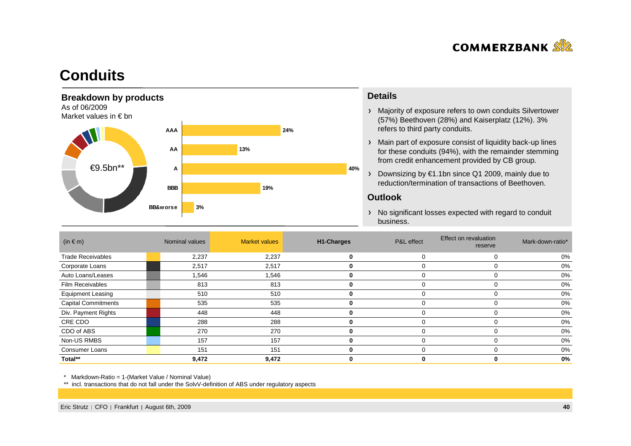

### **Conduits**



#### **Details**

- Majority of exposure refers to own conduits Silvertower(57%) Beethoven (28%) and Kaiserplatz (12%). 3% refers to third party conduits.
- Main part of exposure consist of liquidity back-up lines for these conduits (94%), with the remainder stemming from credit enhancement provided by CB group.
- Downsizing by €1.1bn since Q1 2009, mainly due to reduction/termination of transactions of Beethoven.

#### **Outlook**

> No significant losses expected with regard to conduit business.

| $(in \in m)$               | Nominal values | <b>Market values</b> | <b>H1-Charges</b> | P&L effect | Effect on revaluation<br>reserve | Mark-down-ratio* |
|----------------------------|----------------|----------------------|-------------------|------------|----------------------------------|------------------|
| <b>Trade Receivables</b>   | 2,237          | 2,237                | 0                 |            |                                  | 0%               |
| Corporate Loans            | 2,517          | 2,517                |                   |            |                                  | 0%               |
| Auto Loans/Leases          | 1,546          | 1,546                | 0                 |            |                                  | 0%               |
| <b>Film Receivables</b>    | 813            | 813                  |                   |            |                                  | 0%               |
| <b>Equipment Leasing</b>   | 510            | 510                  |                   |            |                                  | 0%               |
| <b>Capital Commitments</b> | 535            | 535                  | 0                 |            |                                  | 0%               |
| Div. Payment Rights        | 448            | 448                  |                   |            |                                  | 0%               |
| CRE CDO                    | 288            | 288                  | 0                 |            |                                  | 0%               |
| CDO of ABS                 | 270            | 270                  | 0                 |            |                                  | 0%               |
| Non-US RMBS                | 157            | 157                  | 0                 |            |                                  | 0%               |
| <b>Consumer Loans</b>      | 151            | 151                  |                   |            |                                  | 0%               |
| Total**                    | 9,472          | 9,472                |                   |            |                                  | 0%               |

\* Markdown-Ratio = 1-(Market Value / Nominal Value)

\*\* incl. transactions that do not fall under the SolvV-definition of ABS under regulatory aspects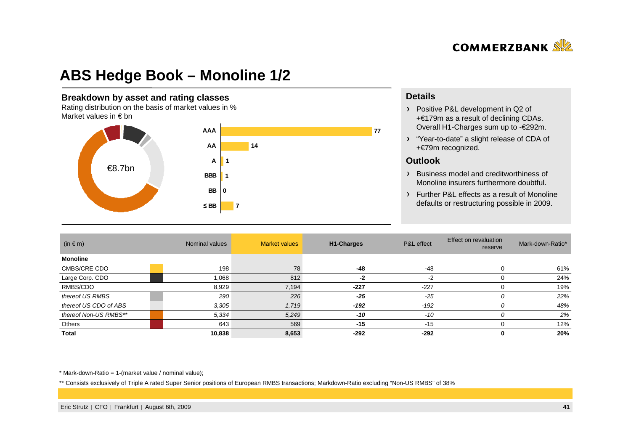

## **ABS Hedge Book – Monoline 1/2**

#### **Breakdown by asset and rating classes**

 Rating distribution on the basis of market values in %Market values in  $\epsilon$  bn



#### **Details**

- Positive P&L development in Q2 of +€179m as a result of declining CDAs. Overall H1-Charges sum up to -€292m.
- "Year-to-date" a slight release of CDA of +€79m recognized.

#### **Outlook**

- Business model and creditworthiness of Monoline insurers furthermore doubtful.
- Further P&L effects as a result of Monolinedefaults or restructuring possible in 2009.

| $(in \in m)$          | Nominal values |       |        |        | <b>Market values</b><br>H <sub>1</sub> -Charges |     | Effect on revaluation<br>reserve | Mark-down-Ratio* |
|-----------------------|----------------|-------|--------|--------|-------------------------------------------------|-----|----------------------------------|------------------|
| <b>Monoline</b>       |                |       |        |        |                                                 |     |                                  |                  |
| CMBS/CRE CDO          | 198            | 78    | $-48$  | $-48$  |                                                 | 61% |                                  |                  |
| Large Corp. CDO       | 1,068          | 812   | -2     | $-2$   |                                                 | 24% |                                  |                  |
| RMBS/CDO              | 8,929          | 7,194 | $-227$ | $-227$ | $\Omega$                                        | 19% |                                  |                  |
| thereof US RMBS       | 290            | 226   | $-25$  | $-25$  | 0                                               | 22% |                                  |                  |
| thereof US CDO of ABS | 3,305          | 1,719 | $-192$ | $-192$ | 0                                               | 48% |                                  |                  |
| thereof Non-US RMBS** | 5,334          | 5,249 | $-10$  | $-10$  | 0                                               | 2%  |                                  |                  |
| Others                | 643            | 569   | $-15$  | $-15$  |                                                 | 12% |                                  |                  |
| Total                 | 10,838         | 8,653 | $-292$ | $-292$ | 0                                               | 20% |                                  |                  |

 $*$  Mark-down-Ratio = 1-(market value / nominal value);

\*\* Consists exclusively of Triple A rated Super Senior positions of European RMBS transactions; Markdown-Ratio excluding "Non-US RMBS" of 38%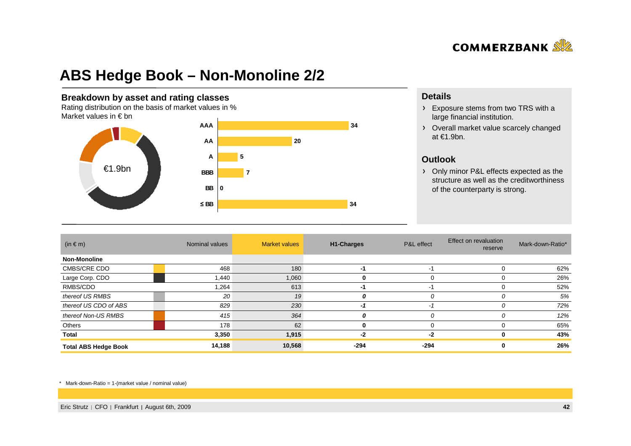

## **ABS Hedge Book – Non-Monoline 2/2**

#### **Breakdown by asset and rating classes**

 Rating distribution on the basis of market values in %Market values in  $\epsilon$  bn



#### **Details**

- Exposure stems from two TRS with a large financial institution.
- Overall market value scarcely changed at €1.9bn.

#### **Outlook**

 Only minor P&L effects expected as the structure as well as the creditworthiness of the counterparty is strong.

| $(in \in m)$                | Nominal values | <b>Market values</b> | H1-Charges | P&L effect | Effect on revaluation<br>reserve | Mark-down-Ratio* |
|-----------------------------|----------------|----------------------|------------|------------|----------------------------------|------------------|
| <b>Non-Monoline</b>         |                |                      |            |            |                                  |                  |
| CMBS/CRE CDO                | 468            | 180                  | -1         | -1         |                                  | 62%              |
| Large Corp. CDO             | 1,440          | 1,060                | 0          | 0          |                                  | 26%              |
| RMBS/CDO                    | 1,264          | 613                  | -1         | -1         |                                  | 52%              |
| thereof US RMBS             | 20             | 19                   | 0          | 0          |                                  | 5%               |
| thereof US CDO of ABS       | 829            | 230                  | -1         | $-2$       |                                  | 72%              |
| thereof Non-US RMBS         | 415            | 364                  | 0          | 0          |                                  | 12%              |
| Others                      | 178            | 62                   | 0          | 0          |                                  | 65%              |
| Total                       | 3,350          | 1,915                | -2         | -2         |                                  | 43%              |
| <b>Total ABS Hedge Book</b> | 14,188         | 10,568               | -294       | -294       |                                  | 26%              |

\* Mark-down-Ratio = 1-(market value / nominal value)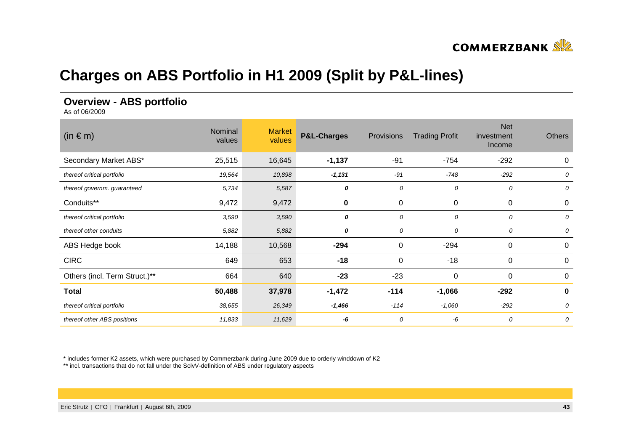

## **Charges on ABS Portfolio in H1 2009 (Split by P&L-lines)**

#### **Overview - ABS portfolio**

As of 06/2009

| $(in \in m)$                  | Nominal<br>values | <b>Market</b><br>values | <b>P&amp;L-Charges</b> | Provisions | <b>Trading Profit</b> | <b>Net</b><br>investment<br>Income | <b>Others</b> |
|-------------------------------|-------------------|-------------------------|------------------------|------------|-----------------------|------------------------------------|---------------|
| Secondary Market ABS*         | 25,515            | 16,645                  | $-1,137$               | $-91$      | $-754$                | $-292$                             | 0             |
| thereof critical portfolio    | 19,564            | 10,898                  | $-1,131$               | $-91$      | $-748$                | $-292$                             | 0             |
| thereof governm. guaranteed   | 5,734             | 5,587                   | 0                      | 0          | 0                     | 0                                  | 0             |
| Conduits**                    | 9,472             | 9,472                   | 0                      | 0          | 0                     | 0                                  | 0             |
| thereof critical portfolio    | 3,590             | 3,590                   | 0                      | 0          | 0                     | 0                                  | 0             |
| thereof other conduits        | 5,882             | 5,882                   | 0                      | 0          | 0                     | 0                                  | 0             |
| ABS Hedge book                | 14,188            | 10,568                  | $-294$                 | 0          | $-294$                | 0                                  | 0             |
| <b>CIRC</b>                   | 649               | 653                     | $-18$                  | 0          | $-18$                 | $\mathbf 0$                        | $\pmb{0}$     |
| Others (incl. Term Struct.)** | 664               | 640                     | $-23$                  | $-23$      | 0                     | 0                                  | 0             |
| <b>Total</b>                  | 50,488            | 37,978                  | $-1,472$               | $-114$     | $-1,066$              | $-292$                             | 0             |
| thereof critical portfolio    | 38,655            | 26,349                  | $-1,466$               | $-114$     | $-1,060$              | $-292$                             | 0             |
| thereof other ABS positions   | 11,833            | 11,629                  | -6                     | 0          | -6                    | 0                                  | 0             |

\* includes former K2 assets, which were purchased by Commerzbank during June 2009 due to orderly winddown of K2

\*\* incl. transactions that do not fall under the SolvV-definition of ABS under regulatory aspects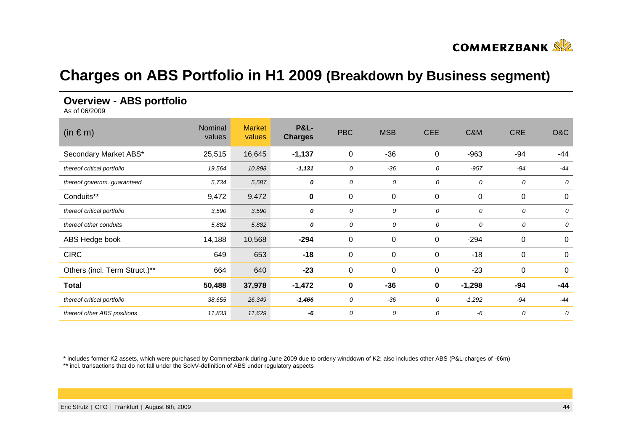

### **Charges on ABS Portfolio in H1 2009 (Breakdown by Business segment)**

#### **Overview - ABS portfolio**

As of 06/2009

| $(in \in m)$                  | Nominal<br>values | <b>Market</b><br>values | <b>P&amp;L-</b><br><b>Charges</b> | <b>PBC</b>  | <b>MSB</b>       | <b>CEE</b>  | C&M      | <b>CRE</b> | O&C              |
|-------------------------------|-------------------|-------------------------|-----------------------------------|-------------|------------------|-------------|----------|------------|------------------|
| Secondary Market ABS*         | 25,515            | 16,645                  | $-1,137$                          | $\mathbf 0$ | $-36$            | 0           | $-963$   | -94        | -44              |
| thereof critical portfolio    | 19,564            | 10,898                  | $-1,131$                          | 0           | $-36$            | 0           | $-957$   | $-94$      | $-44$            |
| thereof governm. guaranteed   | 5,734             | 5,587                   | 0                                 | 0           | 0                | 0           | 0        | 0          | 0                |
| Conduits**                    | 9,472             | 9,472                   | $\pmb{0}$                         | $\mathbf 0$ | $\pmb{0}$        | 0           | 0        | 0          | 0                |
| thereof critical portfolio    | 3,590             | 3,590                   | 0                                 | 0           | 0                | 0           | 0        | 0          | 0                |
| thereof other conduits        | 5,882             | 5,882                   | 0                                 | 0           | 0                | 0           | 0        | 0          | 0                |
| ABS Hedge book                | 14,188            | 10,568                  | $-294$                            | $\mathbf 0$ | $\pmb{0}$        | 0           | $-294$   | $\pmb{0}$  | $\boldsymbol{0}$ |
| <b>CIRC</b>                   | 649               | 653                     | $-18$                             | $\mathbf 0$ | $\pmb{0}$        | $\mathbf 0$ | $-18$    | 0          | 0                |
| Others (incl. Term Struct.)** | 664               | 640                     | $-23$                             | $\mathbf 0$ | $\boldsymbol{0}$ | 0           | $-23$    | $\pmb{0}$  | 0                |
| <b>Total</b>                  | 50,488            | 37,978                  | $-1,472$                          | $\mathbf 0$ | $-36$            | 0           | $-1,298$ | -94        | $-44$            |
| thereof critical portfolio    | 38,655            | 26,349                  | $-1,466$                          | 0           | $-36$            | 0           | $-1,292$ | $-94$      | $-44$            |
| thereof other ABS positions   | 11,833            | 11,629                  | -6                                | 0           | 0                | 0           | -6       | 0          | 0                |

\* includes former K2 assets, which were purchased by Commerzbank during June 2009 due to orderly winddown of K2; also includes other ABS (P&L-charges of -€6m)

\*\* incl. transactions that do not fall under the SolvV-definition of ABS under regulatory aspects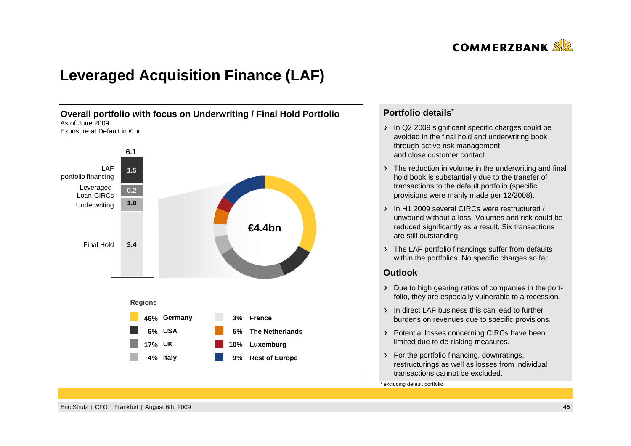

## **Leveraged Acquisition Finance (LAF)**



#### **Portfolio details\***

- In Q2 2009 significant specific charges could be avoided in the final hold and underwriting bookthrough active risk management and close customer contact.
- The reduction in volume in the underwriting and final hold book is substantially due to the transfer of transactions to the default portfolio (specificprovisions were manly made per 12/2008).
- In H1 2009 several CIRCs were restructured / unwound without a loss. Volumes and risk could bereduced significantly as a result. Six transactionsare still outstanding.
- > The LAF portfolio financings suffer from defaults within the portfolios. No specific charges so far.

#### **Outlook**

- Due to high gearing ratios of companies in the portfolio, they are especially vulnerable to a recession.
- In direct LAF business this can lead to further burdens on revenues due to specific provisions.
- > Potential losses concerning CIRCs have been limited due to de-risking measures.
- > For the portfolio financing, downratings, restructurings as well as losses from individual transactions cannot be excluded.

\* excluding default portfolio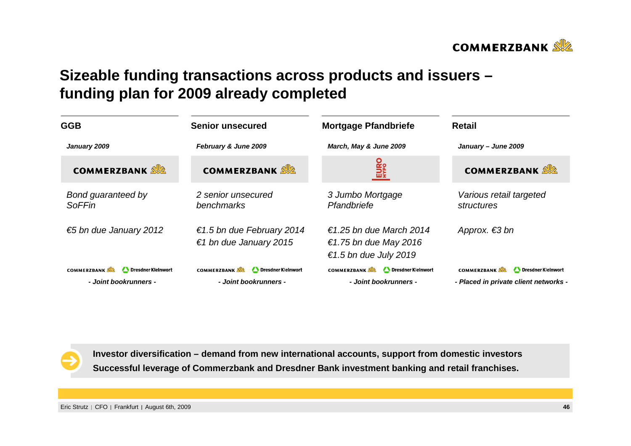

## **Sizeable funding transactions across products and issuers –funding plan for 2009 already completed**

| <b>GGB</b>                                                        | <b>Senior unsecured</b>                                           | <b>Mortgage Pfandbriefe</b>                                               | <b>Retail</b>                                                                     |  |  |
|-------------------------------------------------------------------|-------------------------------------------------------------------|---------------------------------------------------------------------------|-----------------------------------------------------------------------------------|--|--|
| February & June 2009<br>January 2009                              |                                                                   | March, May & June 2009                                                    | January - June 2009                                                               |  |  |
| <b>COMMERZBANK SE</b>                                             | <b>COMMERZBANK</b>                                                | EURO<br>HYPO                                                              | <b>COMMERZBANK</b>                                                                |  |  |
| Bond guaranteed by<br><b>SoFFin</b>                               | 2 senior unsecured<br>benchmarks                                  | 3 Jumbo Mortgage<br>Pfandbriefe                                           | Various retail targeted<br>structures                                             |  |  |
| €5 bn due January 2012                                            | €1.5 bn due February 2014<br>€1 bn due January 2015               | €1.25 bn due March 2014<br>€1.75 bn due May 2016<br>€1.5 bn due July 2019 | Approx. $\epsilon$ 3 bn                                                           |  |  |
| <b>COMMERZBANK</b><br>Dresdner Kleinwort<br>- Joint bookrunners - | <b>COMMERZBANK</b><br>Dresdner Kleinwort<br>- Joint bookrunners - | <b>COMMERZBANK</b><br>Dresdner Kleinwort<br>- Joint bookrunners -         | <b>COMMERZBANK</b><br>Dresdner Kleinwort<br>- Placed in private client networks - |  |  |



**Investor diversification – demand from new international accounts, support from domestic investorsSuccessful leverage of Commerzbank and Dresdner Bank investment banking and retail franchises.**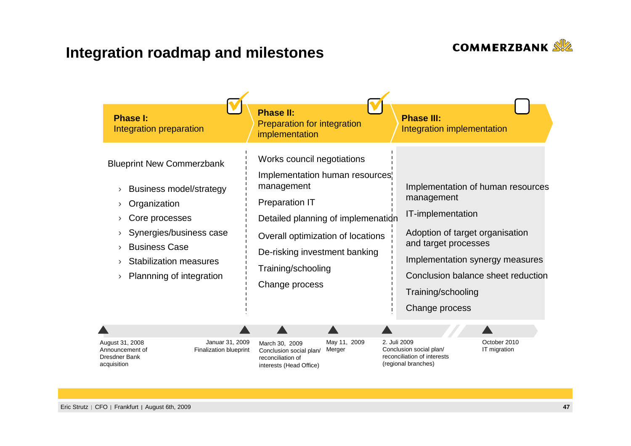

# **Integration roadmap and milestones**

| <b>Phase I:</b><br>Integration preparation | <b>Phase II:</b><br>Preparation for integration<br>implementation | <b>Phase III:</b><br>Integration implementation |
|--------------------------------------------|-------------------------------------------------------------------|-------------------------------------------------|
| <b>Blueprint New Commerzbank</b>           | Works council negotiations                                        | Implementation of human resources               |
| <b>Business model/strategy</b>             | Implementation human resources <sup>1</sup>                       | management                                      |
| Organization                               | management                                                        | IT-implementation                               |
| Core processes                             | <b>Preparation IT</b>                                             | Adoption of target organisation                 |
| Synergies/business case                    | Detailed planning of implemenation                                | and target processes                            |
| <b>Business Case</b>                       | Overall optimization of locations                                 | Implementation synergy measures                 |
| <b>Stabilization measures</b>              | De-risking investment banking                                     | Conclusion balance sheet reduction              |
| Plannning of integration                   | Training/schooling                                                | Training/schooling                              |
| $\rightarrow$                              | Change process                                                    | Change process                                  |
| Januar 31, 2009                            | May 11, 2009                                                      | October 2010                                    |
| August 31, 2008                            | March 30, 2009                                                    | 2. Juli 2009                                    |
| <b>Finalization blueprint</b>              | Merger                                                            | Conclusion social plan/                         |
| Announcement of                            | Conclusion social plan/                                           | IT migration                                    |
| <b>Dresdner Bank</b>                       | reconciliation of                                                 | reconciliation of interests                     |
| acquisition                                | interests (Head Office)                                           | (regional branches)                             |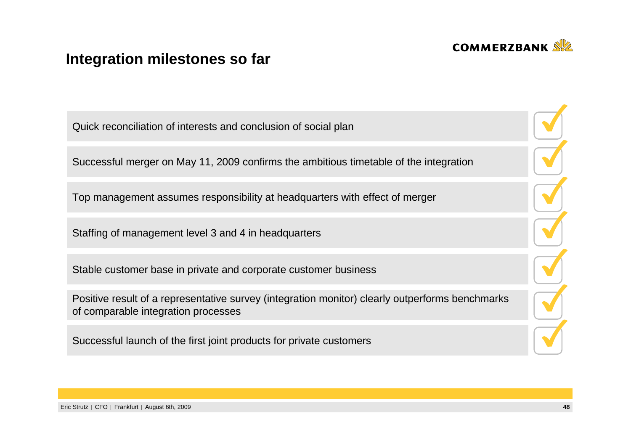

## **Integration milestones so far**

Quick reconciliation of interests and conclusion of social planSuccessful merger on May 11, 2009 confirms the ambitious timetable of the integration

Top management assumes responsibility at headquarters with effect of merger

Staffing of management level 3 and 4 in headquarters

Stable customer base in private and corporate customer business

Positive result of a representative survey (integration monitor) clearly outperforms benchmarksof comparable integration processes

Successful launch of the first joint products for private customers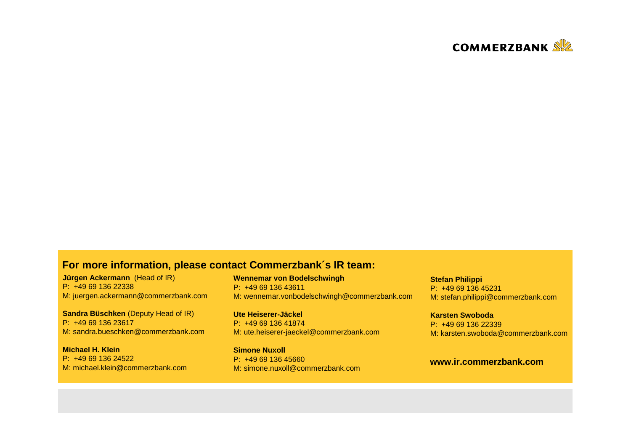

#### **For more information, please contact Commerzbank´s IR team:**

**Jürgen Ackermann** (Head of IR) P: +49 69 136 22338M: juergen.ackermann@commerzbank.com

**Sandra Büschken** (Deputy Head of IR) P: +49 69 136 23617M: sandra.bueschken@commerzbank.com

**Michael H. Klein** P: +49 69 136 24522M: michael.klein@commerzbank.com **Wennemar von Bodelschwingh**P: +49 69 136 43611M: wennemar.vonbodelschwingh@commerzbank.com

**Ute Heiserer-Jäckel** P: +49 69 136 41874M: ute.heiserer-jaeckel@commerzbank.com

**Simone Nuxoll** P: +49 69 136 45660M: simone.nuxoll@commerzbank.com **Stefan Philippi** P: +49 69 136 45231M: stefan.philippi@commerzbank.com

**Karsten Swoboda** P: +49 69 136 22339M: karsten.swoboda@commerzbank.com

#### **www.ir.commerzbank.com**